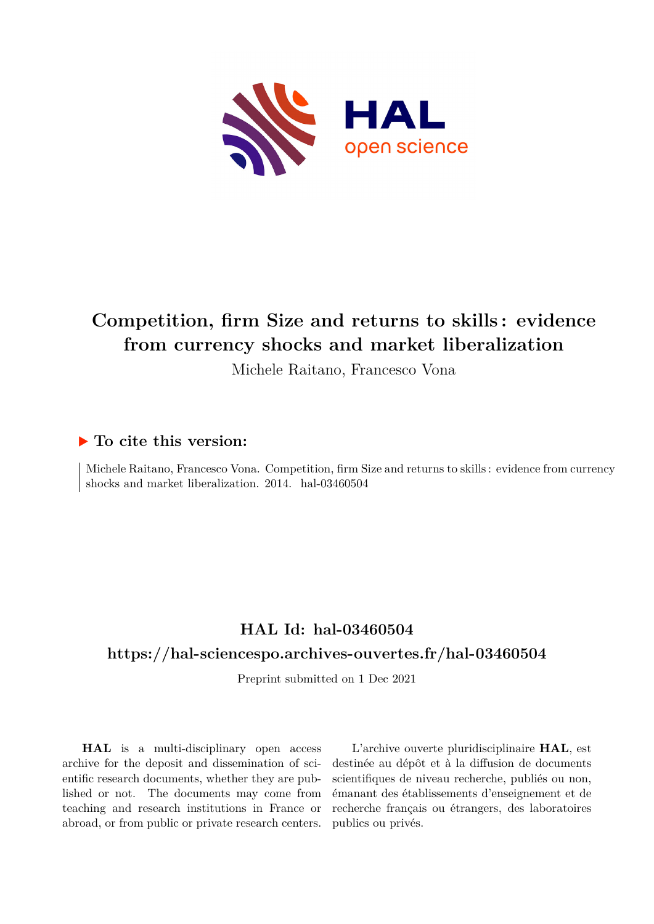

# **Competition, firm Size and returns to skills : evidence from currency shocks and market liberalization**

Michele Raitano, Francesco Vona

## **To cite this version:**

Michele Raitano, Francesco Vona. Competition, firm Size and returns to skills : evidence from currency shocks and market liberalization. 2014. hal-03460504

# **HAL Id: hal-03460504**

## **<https://hal-sciencespo.archives-ouvertes.fr/hal-03460504>**

Preprint submitted on 1 Dec 2021

**HAL** is a multi-disciplinary open access archive for the deposit and dissemination of scientific research documents, whether they are published or not. The documents may come from teaching and research institutions in France or abroad, or from public or private research centers.

L'archive ouverte pluridisciplinaire **HAL**, est destinée au dépôt et à la diffusion de documents scientifiques de niveau recherche, publiés ou non, émanant des établissements d'enseignement et de recherche français ou étrangers, des laboratoires publics ou privés.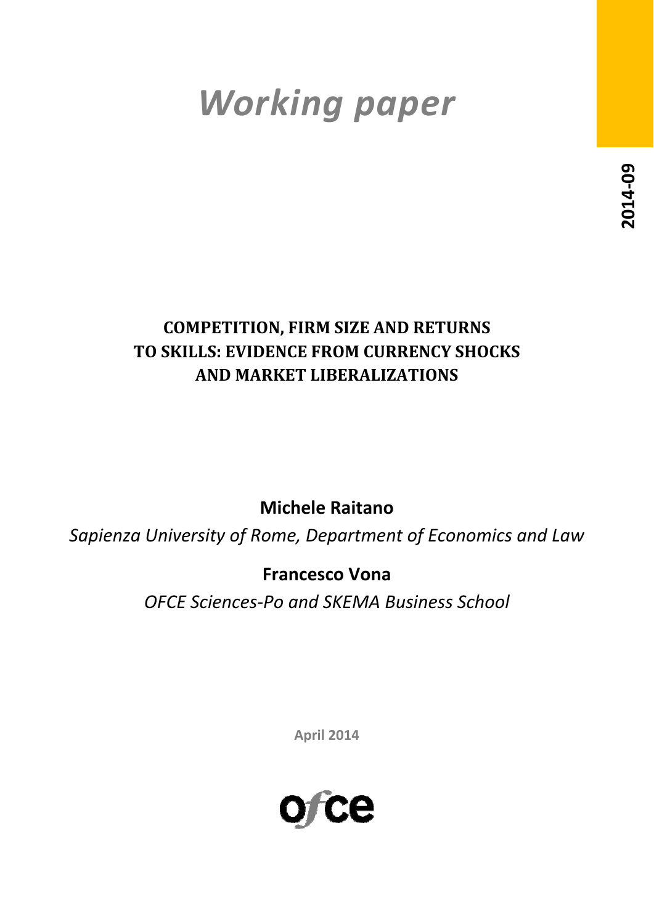# *Working paper*

# **COMPETITION, FIRM SIZE AND RETURNS TO SKILLS: EVIDENCE FROM CURRENCY SHOCKS AND MARKET LIBERALIZATIONS**

**Michele Raitano**

*Sapienza University of Rome, Department of Economics and Law*

# **Francesco Vona**

*OFCE Sciences‐Po and SKEMA Business School*

**April 2014**

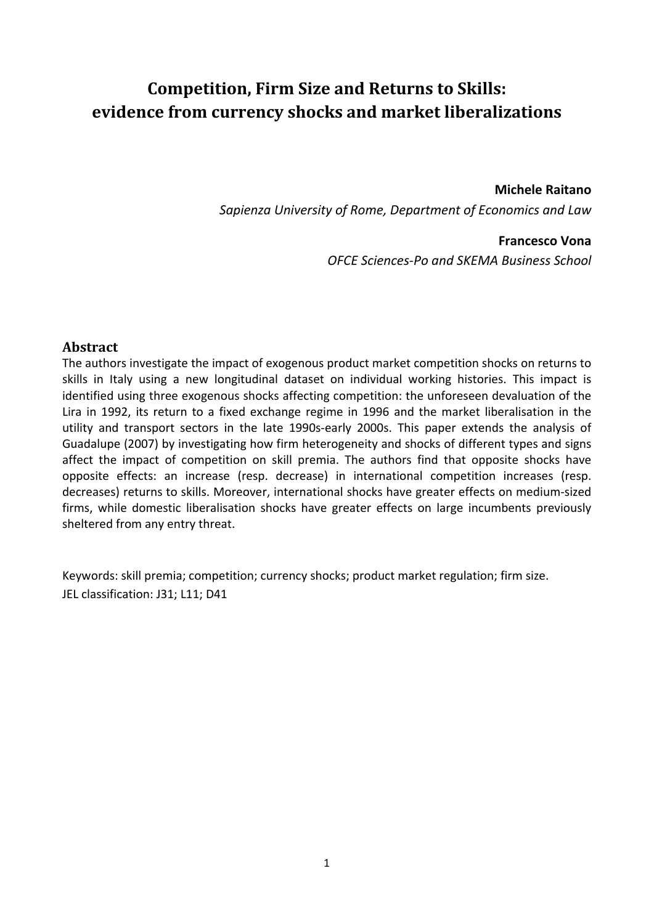# **Competition, Firm Size and Returns to Skills: evidence from currency shocks and market liberalizations**

#### **Michele Raitano**

*Sapienza University of Rome, Department of Economics and Law*

### **Francesco Vona**

*OFCE Sciences‐Po and SKEMA Business School*

## **Abstract**

The authors investigate the impact of exogenous product market competition shocks on returns to skills in Italy using a new longitudinal dataset on individual working histories. This impact is identified using three exogenous shocks affecting competition: the unforeseen devaluation of the Lira in 1992, its return to a fixed exchange regime in 1996 and the market liberalisation in the utility and transport sectors in the late 1990s‐early 2000s. This paper extends the analysis of Guadalupe (2007) by investigating how firm heterogeneity and shocks of different types and signs affect the impact of competition on skill premia. The authors find that opposite shocks have opposite effects: an increase (resp. decrease) in international competition increases (resp. decreases) returns to skills. Moreover, international shocks have greater effects on medium‐sized firms, while domestic liberalisation shocks have greater effects on large incumbents previously sheltered from any entry threat.

Keywords: skill premia; competition; currency shocks; product market regulation; firm size. JEL classification: J31; L11; D41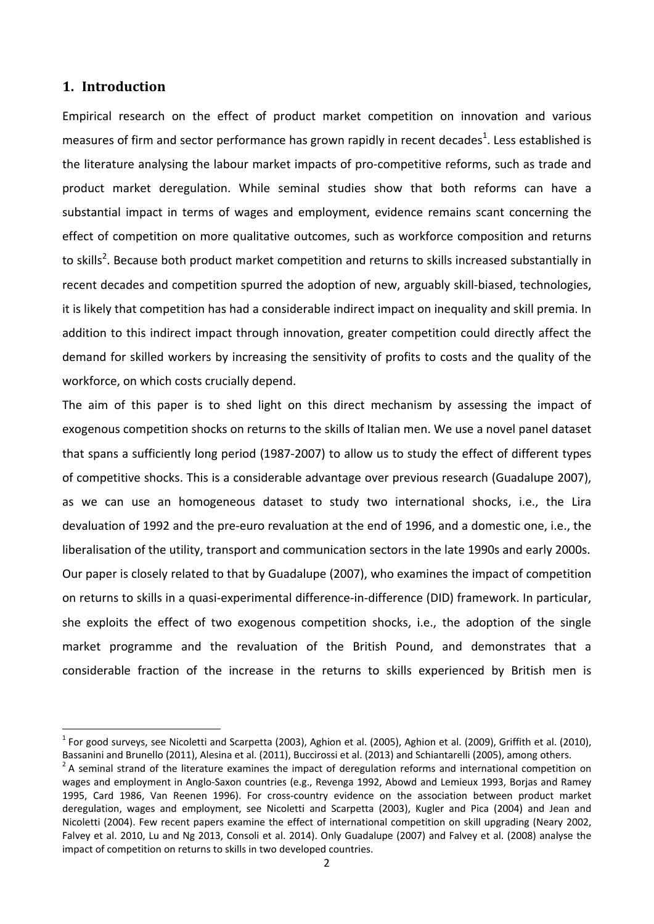#### **1. Introduction**

Empirical research on the effect of product market competition on innovation and various measures of firm and sector performance has grown rapidly in recent decades<sup>1</sup>. Less established is the literature analysing the labour market impacts of pro‐competitive reforms, such as trade and product market deregulation. While seminal studies show that both reforms can have a substantial impact in terms of wages and employment, evidence remains scant concerning the effect of competition on more qualitative outcomes, such as workforce composition and returns to skills<sup>2</sup>. Because both product market competition and returns to skills increased substantially in recent decades and competition spurred the adoption of new, arguably skill‐biased, technologies, it is likely that competition has had a considerable indirect impact on inequality and skill premia. In addition to this indirect impact through innovation, greater competition could directly affect the demand for skilled workers by increasing the sensitivity of profits to costs and the quality of the workforce, on which costs crucially depend.

The aim of this paper is to shed light on this direct mechanism by assessing the impact of exogenous competition shocks on returns to the skills of Italian men. We use a novel panel dataset that spans a sufficiently long period (1987‐2007) to allow us to study the effect of different types of competitive shocks. This is a considerable advantage over previous research (Guadalupe 2007), as we can use an homogeneous dataset to study two international shocks, i.e., the Lira devaluation of 1992 and the pre‐euro revaluation at the end of 1996, and a domestic one, i.e., the liberalisation of the utility, transport and communication sectors in the late 1990s and early 2000s. Our paper is closely related to that by Guadalupe (2007), who examines the impact of competition on returns to skills in a quasi-experimental difference-in-difference (DID) framework. In particular, she exploits the effect of two exogenous competition shocks, i.e., the adoption of the single market programme and the revaluation of the British Pound, and demonstrates that a considerable fraction of the increase in the returns to skills experienced by British men is

 $<sup>1</sup>$  For good surveys, see Nicoletti and Scarpetta (2003), Aghion et al. (2005), Aghion et al. (2009), Griffith et al. (2010),</sup>

Bassanini and Brunello (2011), Alesina et al. (2011), Buccirossi et al. (2013) and Schiantarelli (2005), among others.<br><sup>2</sup> A seminal strand of the literature examines the impact of deregulation reforms and international c wages and employment in Anglo‐Saxon countries (e.g., Revenga 1992, Abowd and Lemieux 1993, Borjas and Ramey 1995, Card 1986, Van Reenen 1996). For cross-country evidence on the association between product market deregulation, wages and employment, see Nicoletti and Scarpetta (2003), Kugler and Pica (2004) and Jean and Nicoletti (2004). Few recent papers examine the effect of international competition on skill upgrading (Neary 2002, Falvey et al. 2010, Lu and Ng 2013, Consoli et al. 2014). Only Guadalupe (2007) and Falvey et al. (2008) analyse the impact of competition on returns to skills in two developed countries.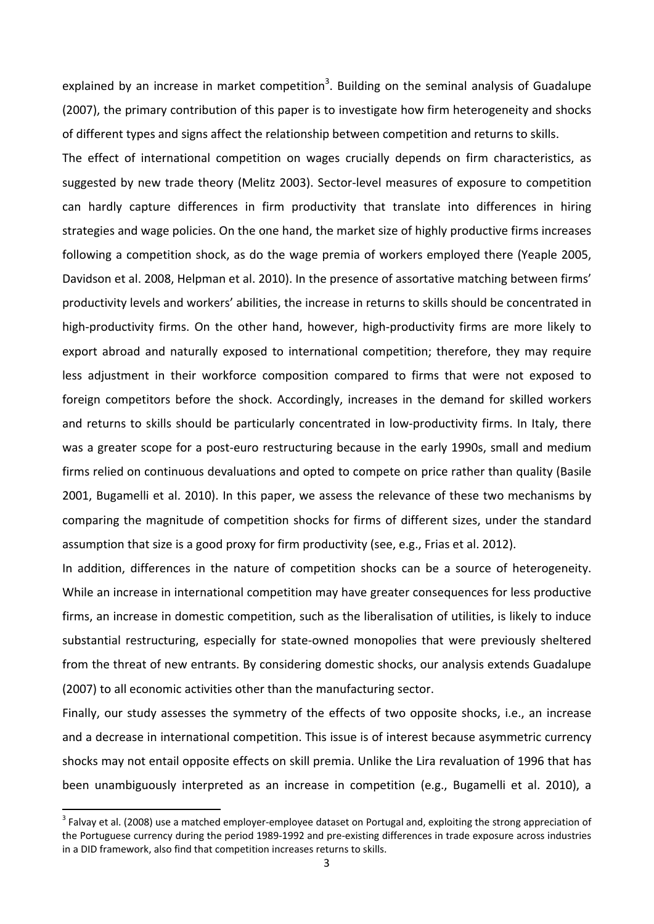explained by an increase in market competition<sup>3</sup>. Building on the seminal analysis of Guadalupe (2007), the primary contribution of this paper is to investigate how firm heterogeneity and shocks of different types and signs affect the relationship between competition and returns to skills.

The effect of international competition on wages crucially depends on firm characteristics, as suggested by new trade theory (Melitz 2003). Sector-level measures of exposure to competition can hardly capture differences in firm productivity that translate into differences in hiring strategies and wage policies. On the one hand, the market size of highly productive firms increases following a competition shock, as do the wage premia of workers employed there (Yeaple 2005, Davidson et al. 2008, Helpman et al. 2010). In the presence of assortative matching between firms' productivity levels and workers' abilities, the increase in returns to skills should be concentrated in high-productivity firms. On the other hand, however, high-productivity firms are more likely to export abroad and naturally exposed to international competition; therefore, they may require less adjustment in their workforce composition compared to firms that were not exposed to foreign competitors before the shock. Accordingly, increases in the demand for skilled workers and returns to skills should be particularly concentrated in low-productivity firms. In Italy, there was a greater scope for a post-euro restructuring because in the early 1990s, small and medium firms relied on continuous devaluations and opted to compete on price rather than quality (Basile 2001, Bugamelli et al. 2010). In this paper, we assess the relevance of these two mechanisms by comparing the magnitude of competition shocks for firms of different sizes, under the standard assumption that size is a good proxy for firm productivity (see, e.g., Frias et al. 2012).

In addition, differences in the nature of competition shocks can be a source of heterogeneity. While an increase in international competition may have greater consequences for less productive firms, an increase in domestic competition, such as the liberalisation of utilities, is likely to induce substantial restructuring, especially for state-owned monopolies that were previously sheltered from the threat of new entrants. By considering domestic shocks, our analysis extends Guadalupe (2007) to all economic activities other than the manufacturing sector.

Finally, our study assesses the symmetry of the effects of two opposite shocks, i.e., an increase and a decrease in international competition. This issue is of interest because asymmetric currency shocks may not entail opposite effects on skill premia. Unlike the Lira revaluation of 1996 that has been unambiguously interpreted as an increase in competition (e.g., Bugamelli et al. 2010), a

<sup>&</sup>lt;sup>3</sup> Falvay et al. (2008) use a matched employer-employee dataset on Portugal and, exploiting the strong appreciation of the Portuguese currency during the period 1989‐1992 and pre‐existing differences in trade exposure across industries in a DID framework, also find that competition increases returns to skills.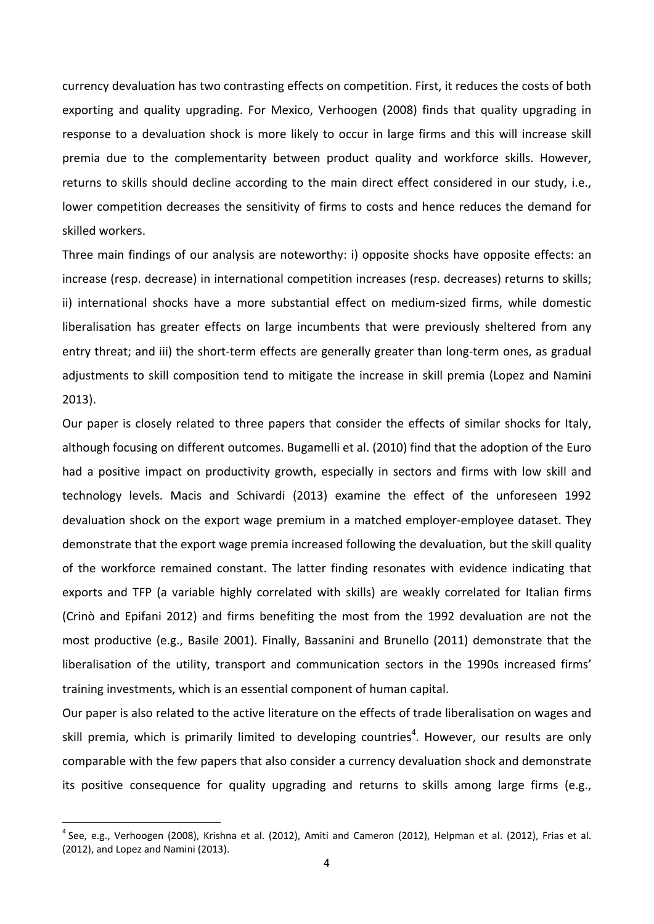currency devaluation has two contrasting effects on competition. First, it reduces the costs of both exporting and quality upgrading. For Mexico, Verhoogen (2008) finds that quality upgrading in response to a devaluation shock is more likely to occur in large firms and this will increase skill premia due to the complementarity between product quality and workforce skills. However, returns to skills should decline according to the main direct effect considered in our study, i.e., lower competition decreases the sensitivity of firms to costs and hence reduces the demand for skilled workers.

Three main findings of our analysis are noteworthy: i) opposite shocks have opposite effects: an increase (resp. decrease) in international competition increases (resp. decreases) returns to skills; ii) international shocks have a more substantial effect on medium‐sized firms, while domestic liberalisation has greater effects on large incumbents that were previously sheltered from any entry threat; and iii) the short-term effects are generally greater than long-term ones, as gradual adjustments to skill composition tend to mitigate the increase in skill premia (Lopez and Namini 2013).

Our paper is closely related to three papers that consider the effects of similar shocks for Italy, although focusing on different outcomes. Bugamelli et al. (2010) find that the adoption of the Euro had a positive impact on productivity growth, especially in sectors and firms with low skill and technology levels. Macis and Schivardi (2013) examine the effect of the unforeseen 1992 devaluation shock on the export wage premium in a matched employer-employee dataset. They demonstrate that the export wage premia increased following the devaluation, but the skill quality of the workforce remained constant. The latter finding resonates with evidence indicating that exports and TFP (a variable highly correlated with skills) are weakly correlated for Italian firms (Crinò and Epifani 2012) and firms benefiting the most from the 1992 devaluation are not the most productive (e.g., Basile 2001). Finally, Bassanini and Brunello (2011) demonstrate that the liberalisation of the utility, transport and communication sectors in the 1990s increased firms' training investments, which is an essential component of human capital.

Our paper is also related to the active literature on the effects of trade liberalisation on wages and skill premia, which is primarily limited to developing countries<sup>4</sup>. However, our results are only comparable with the few papers that also consider a currency devaluation shock and demonstrate its positive consequence for quality upgrading and returns to skills among large firms (e.g.,

 $<sup>4</sup>$  See, e.g., Verhoogen (2008), Krishna et al. (2012), Amiti and Cameron (2012), Helpman et al. (2012), Frias et al.</sup> (2012), and Lopez and Namini (2013).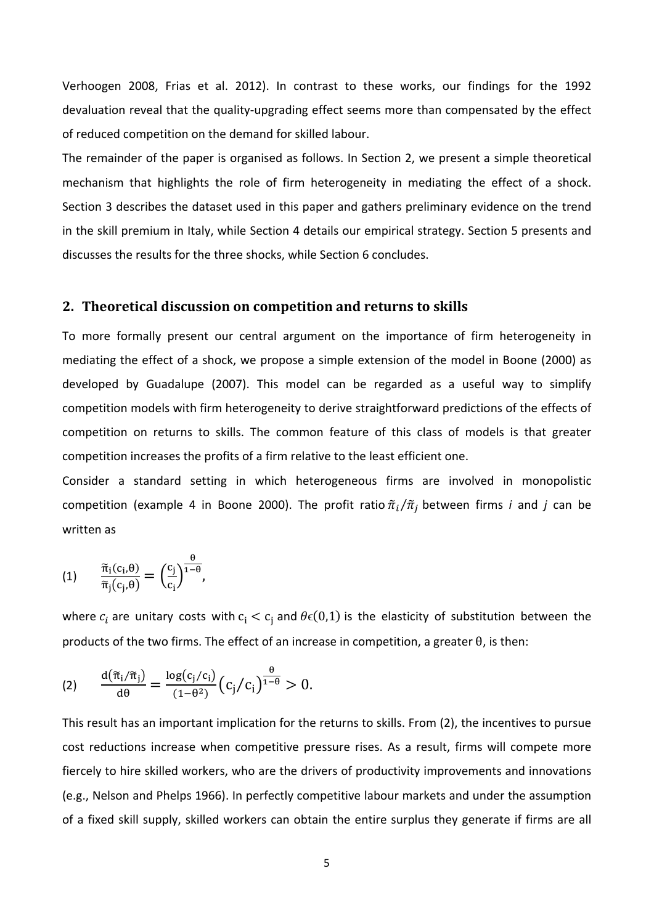Verhoogen 2008, Frias et al. 2012). In contrast to these works, our findings for the 1992 devaluation reveal that the quality‐upgrading effect seems more than compensated by the effect of reduced competition on the demand for skilled labour.

The remainder of the paper is organised as follows. In Section 2, we present a simple theoretical mechanism that highlights the role of firm heterogeneity in mediating the effect of a shock. Section 3 describes the dataset used in this paper and gathers preliminary evidence on the trend in the skill premium in Italy, while Section 4 details our empirical strategy. Section 5 presents and discusses the results for the three shocks, while Section 6 concludes.

#### **2. Theoretical discussion on competition and returns to skills**

To more formally present our central argument on the importance of firm heterogeneity in mediating the effect of a shock, we propose a simple extension of the model in Boone (2000) as developed by Guadalupe (2007). This model can be regarded as a useful way to simplify competition models with firm heterogeneity to derive straightforward predictions of the effects of competition on returns to skills. The common feature of this class of models is that greater competition increases the profits of a firm relative to the least efficient one.

Consider a standard setting in which heterogeneous firms are involved in monopolistic competition (example 4 in Boone 2000). The profit ratio  $\tilde{\pi}_i/\tilde{\pi}_j$  between firms *i* and *j* can be written as

$$
(1) \qquad \frac{\widetilde{\pi}_{i}(c_{i},\theta)}{\widetilde{\pi}_{j}(c_{j},\theta)}=\left(\frac{c_{j}}{c_{i}}\right)^{\frac{\theta}{1-\theta}},
$$

where  $c_i$  are unitary costs with  $c_i < c_j$  and  $\theta \in (0,1)$  is the elasticity of substitution between the products of the two firms. The effect of an increase in competition, a greater θ, is then:

$$
(2) \qquad \frac{\mathrm{d}(\widetilde{\pi}_{i}/\widetilde{\pi}_{j})}{\mathrm{d}\theta}=\frac{\log(c_{j}/c_{i})}{(1-\theta^{2})}\big(c_{j}\big/c_{i}\big)^{\frac{\theta}{1-\theta}}>0.
$$

This result has an important implication for the returns to skills. From (2), the incentives to pursue cost reductions increase when competitive pressure rises. As a result, firms will compete more fiercely to hire skilled workers, who are the drivers of productivity improvements and innovations (e.g., Nelson and Phelps 1966). In perfectly competitive labour markets and under the assumption of a fixed skill supply, skilled workers can obtain the entire surplus they generate if firms are all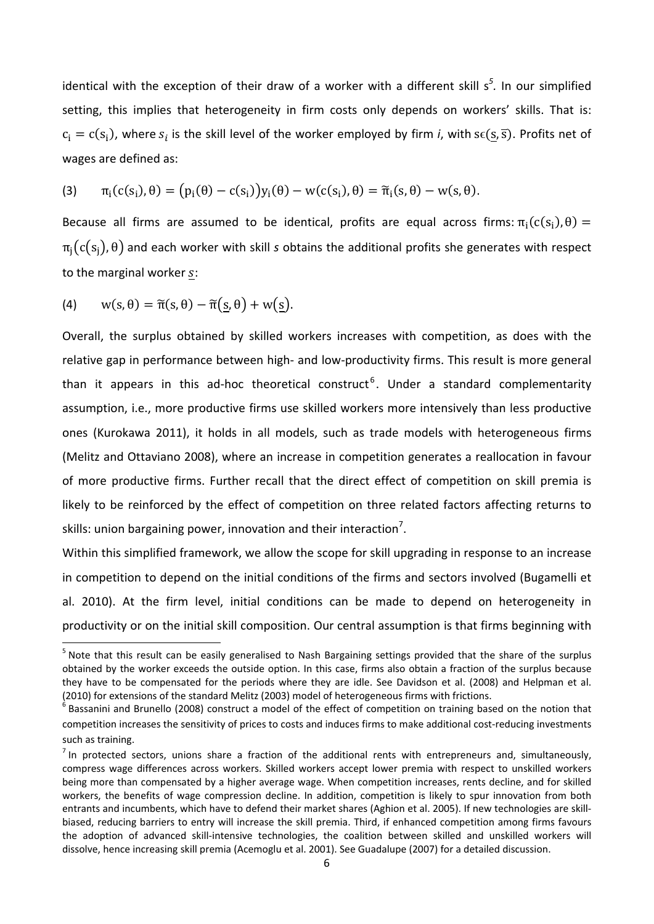identical with the exception of their draw of a worker with a different skill s<sup>5</sup>. In our simplified setting, this implies that heterogeneity in firm costs only depends on workers' skills. That is:  $c_i = c(s_i)$ , where  $s_i$  is the skill level of the worker employed by firm *i*, with s $\epsilon(s, \overline{s})$ . Profits net of wages are defined as:

(3) 
$$
\pi_i(c(s_i), \theta) = (p_i(\theta) - c(s_i))y_i(\theta) - w(c(s_i), \theta) = \tilde{\pi}_i(s, \theta) - w(s, \theta).
$$

Because all firms are assumed to be identical, profits are equal across firms:  $\pi_i(c(s_i), \theta) =$  $\pi_i(c(s_i), \theta)$  and each worker with skill *s* obtains the additional profits she generates with respect to the marginal worker s:

(4)  $w(s, \theta) = \tilde{\pi}(s, \theta) - \tilde{\pi}(\underline{s}, \theta) + w(\underline{s}).$ 

Overall, the surplus obtained by skilled workers increases with competition, as does with the relative gap in performance between high‐ and low‐productivity firms. This result is more general than it appears in this ad-hoc theoretical construct<sup>6</sup>. Under a standard complementarity assumption, i.e., more productive firms use skilled workers more intensively than less productive ones (Kurokawa 2011), it holds in all models, such as trade models with heterogeneous firms (Melitz and Ottaviano 2008), where an increase in competition generates a reallocation in favour of more productive firms. Further recall that the direct effect of competition on skill premia is likely to be reinforced by the effect of competition on three related factors affecting returns to skills: union bargaining power, innovation and their interaction<sup>7</sup>.

Within this simplified framework, we allow the scope for skill upgrading in response to an increase in competition to depend on the initial conditions of the firms and sectors involved (Bugamelli et al. 2010). At the firm level, initial conditions can be made to depend on heterogeneity in productivity or on the initial skill composition. Our central assumption is that firms beginning with

<sup>&</sup>lt;sup>5</sup> Note that this result can be easily generalised to Nash Bargaining settings provided that the share of the surplus obtained by the worker exceeds the outside option. In this case, firms also obtain a fraction of the surplus because they have to be compensated for the periods where they are idle. See Davidson et al. (2008) and Helpman et al. (2010) for extensions of the standard Melitz (2003) model of heterogeneous firms with frictions.<br><sup>6</sup> Bassanini and Brunello (2008) construct a model of the effect of competition on training based on the notion that

competition increases the sensitivity of prices to costs and induces firms to make additional cost-reducing investments such as training.

 $<sup>7</sup>$  In protected sectors, unions share a fraction of the additional rents with entrepreneurs and, simultaneously,</sup> compress wage differences across workers. Skilled workers accept lower premia with respect to unskilled workers being more than compensated by a higher average wage. When competition increases, rents decline, and for skilled workers, the benefits of wage compression decline. In addition, competition is likely to spur innovation from both entrants and incumbents, which have to defend their market shares (Aghion et al. 2005). If new technologies are skillbiased, reducing barriers to entry will increase the skill premia. Third, if enhanced competition among firms favours the adoption of advanced skill-intensive technologies, the coalition between skilled and unskilled workers will dissolve, hence increasing skill premia (Acemoglu et al. 2001). See Guadalupe (2007) for a detailed discussion.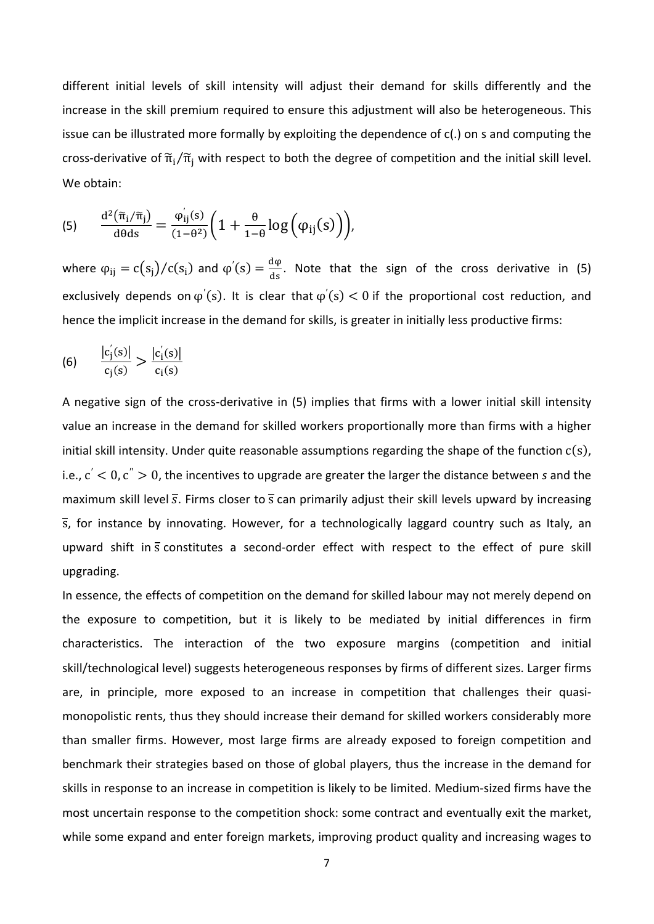different initial levels of skill intensity will adjust their demand for skills differently and the increase in the skill premium required to ensure this adjustment will also be heterogeneous. This issue can be illustrated more formally by exploiting the dependence of c(.) on s and computing the cross-derivative of  $\tilde{\pi}_i/\tilde{\pi}_i$  with respect to both the degree of competition and the initial skill level. We obtain:

(5) 
$$
\frac{d^2(\tilde{\pi}_i/\tilde{\pi}_j)}{d\theta ds} = \frac{\varphi_{ij}^{\prime}(s)}{(1-\theta^2)} \bigg(1 + \frac{\theta}{1-\theta} \log \Big(\varphi_{ij}(s)\Big)\bigg),
$$

where  $\varphi_{ij} = c(s_j)/c(s_i)$  and  $\varphi'(s) = \frac{d\varphi}{ds}$ . Note that the sign of the cross derivative in (5) exclusively depends on  $\varphi'(s)$ . It is clear that  $\varphi'(s) < 0$  if the proportional cost reduction, and hence the implicit increase in the demand for skills, is greater in initially less productive firms:

(6) 
$$
\frac{|c_j^{'}(s)|}{c_j(s)} > \frac{|c_j^{'}(s)|}{c_i(s)}
$$

A negative sign of the cross‐derivative in (5) implies that firms with a lower initial skill intensity value an increase in the demand for skilled workers proportionally more than firms with a higher initial skill intensity. Under quite reasonable assumptions regarding the shape of the function  $c(s)$ , i.e.,  $c' < 0$ ,  $c'' > 0$ , the incentives to upgrade are greater the larger the distance between *s* and the maximum skill level  $\overline{s}$ . Firms closer to  $\overline{s}$  can primarily adjust their skill levels upward by increasing s, for instance by innovating. However, for a technologically laggard country such as Italy, an upward shift in s constitutes a second-order effect with respect to the effect of pure skill upgrading.

In essence, the effects of competition on the demand for skilled labour may not merely depend on the exposure to competition, but it is likely to be mediated by initial differences in firm characteristics. The interaction of the two exposure margins (competition and initial skill/technological level) suggests heterogeneous responses by firms of different sizes. Larger firms are, in principle, more exposed to an increase in competition that challenges their quasimonopolistic rents, thus they should increase their demand for skilled workers considerably more than smaller firms. However, most large firms are already exposed to foreign competition and benchmark their strategies based on those of global players, thus the increase in the demand for skills in response to an increase in competition is likely to be limited. Medium‐sized firms have the most uncertain response to the competition shock: some contract and eventually exit the market, while some expand and enter foreign markets, improving product quality and increasing wages to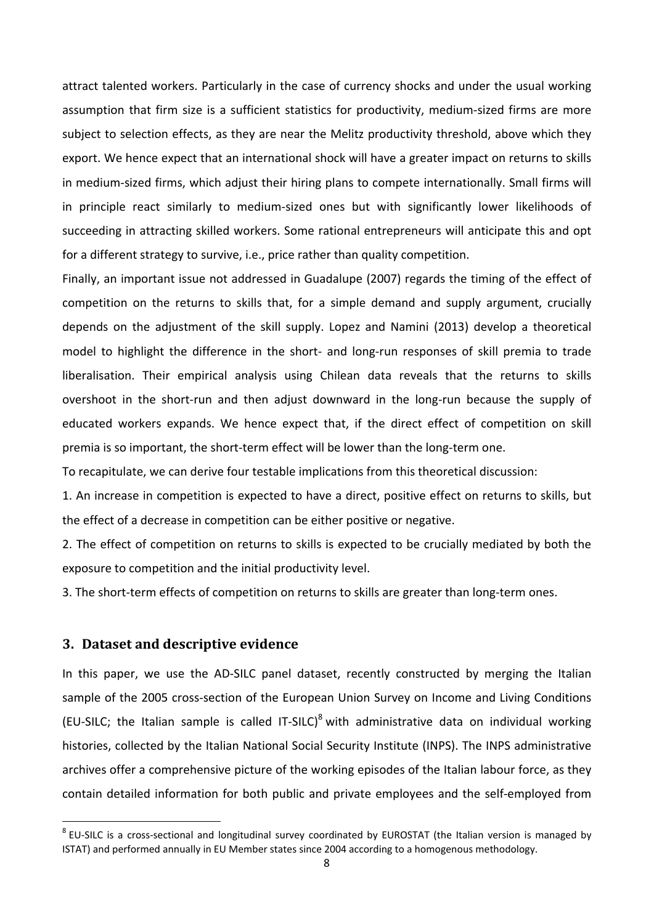attract talented workers. Particularly in the case of currency shocks and under the usual working assumption that firm size is a sufficient statistics for productivity, medium‐sized firms are more subject to selection effects, as they are near the Melitz productivity threshold, above which they export. We hence expect that an international shock will have a greater impact on returns to skills in medium‐sized firms, which adjust their hiring plans to compete internationally. Small firms will in principle react similarly to medium‐sized ones but with significantly lower likelihoods of succeeding in attracting skilled workers. Some rational entrepreneurs will anticipate this and opt for a different strategy to survive, i.e., price rather than quality competition.

Finally, an important issue not addressed in Guadalupe (2007) regards the timing of the effect of competition on the returns to skills that, for a simple demand and supply argument, crucially depends on the adjustment of the skill supply. Lopez and Namini (2013) develop a theoretical model to highlight the difference in the short- and long-run responses of skill premia to trade liberalisation. Their empirical analysis using Chilean data reveals that the returns to skills overshoot in the short-run and then adjust downward in the long-run because the supply of educated workers expands. We hence expect that, if the direct effect of competition on skill premia is so important, the short-term effect will be lower than the long-term one.

To recapitulate, we can derive four testable implications from this theoretical discussion:

1. An increase in competition is expected to have a direct, positive effect on returns to skills, but the effect of a decrease in competition can be either positive or negative.

2. The effect of competition on returns to skills is expected to be crucially mediated by both the exposure to competition and the initial productivity level.

3. The short-term effects of competition on returns to skills are greater than long-term ones.

#### **3. Dataset and descriptive evidence**

In this paper, we use the AD-SILC panel dataset, recently constructed by merging the Italian sample of the 2005 cross-section of the European Union Survey on Income and Living Conditions (EU-SILC; the Italian sample is called IT-SILC)<sup>8</sup> with administrative data on individual working histories, collected by the Italian National Social Security Institute (INPS). The INPS administrative archives offer a comprehensive picture of the working episodes of the Italian labour force, as they contain detailed information for both public and private employees and the self-employed from

<sup>&</sup>lt;sup>8</sup> EU-SILC is a cross-sectional and longitudinal survey coordinated by EUROSTAT (the Italian version is managed by ISTAT) and performed annually in EU Member states since 2004 according to a homogenous methodology.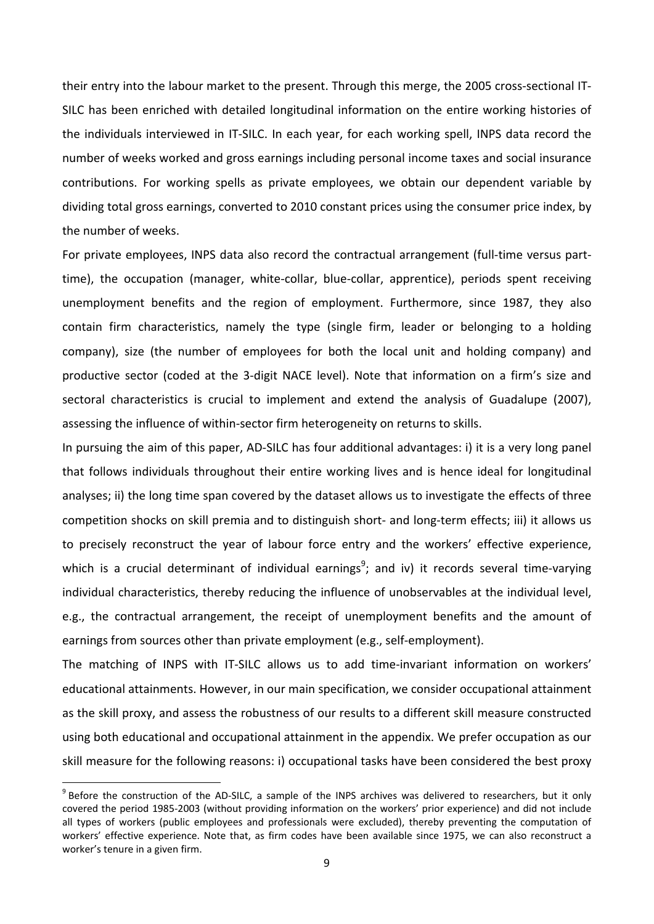their entry into the labour market to the present. Through this merge, the 2005 cross‐sectional IT‐ SILC has been enriched with detailed longitudinal information on the entire working histories of the individuals interviewed in IT‐SILC. In each year, for each working spell, INPS data record the number of weeks worked and gross earnings including personal income taxes and social insurance contributions. For working spells as private employees, we obtain our dependent variable by dividing total gross earnings, converted to 2010 constant prices using the consumer price index, by the number of weeks.

For private employees, INPS data also record the contractual arrangement (full-time versus parttime), the occupation (manager, white‐collar, blue‐collar, apprentice), periods spent receiving unemployment benefits and the region of employment. Furthermore, since 1987, they also contain firm characteristics, namely the type (single firm, leader or belonging to a holding company), size (the number of employees for both the local unit and holding company) and productive sector (coded at the 3-digit NACE level). Note that information on a firm's size and sectoral characteristics is crucial to implement and extend the analysis of Guadalupe (2007), assessing the influence of within‐sector firm heterogeneity on returns to skills.

In pursuing the aim of this paper, AD‐SILC has four additional advantages: i) it is a very long panel that follows individuals throughout their entire working lives and is hence ideal for longitudinal analyses; ii) the long time span covered by the dataset allows us to investigate the effects of three competition shocks on skill premia and to distinguish short‐ and long‐term effects; iii) it allows us to precisely reconstruct the year of labour force entry and the workers' effective experience, which is a crucial determinant of individual earnings<sup>9</sup>; and iv) it records several time-varying individual characteristics, thereby reducing the influence of unobservables at the individual level, e.g., the contractual arrangement, the receipt of unemployment benefits and the amount of earnings from sources other than private employment (e.g., self-employment).

The matching of INPS with IT‐SILC allows us to add time‐invariant information on workers' educational attainments. However, in our main specification, we consider occupational attainment as the skill proxy, and assess the robustness of our results to a different skill measure constructed using both educational and occupational attainment in the appendix. We prefer occupation as our skill measure for the following reasons: i) occupational tasks have been considered the best proxy

<sup>&</sup>lt;sup>9</sup> Before the construction of the AD-SILC, a sample of the INPS archives was delivered to researchers, but it only covered the period 1985‐2003 (without providing information on the workers' prior experience) and did not include all types of workers (public employees and professionals were excluded), thereby preventing the computation of workers' effective experience. Note that, as firm codes have been available since 1975, we can also reconstruct a worker's tenure in a given firm.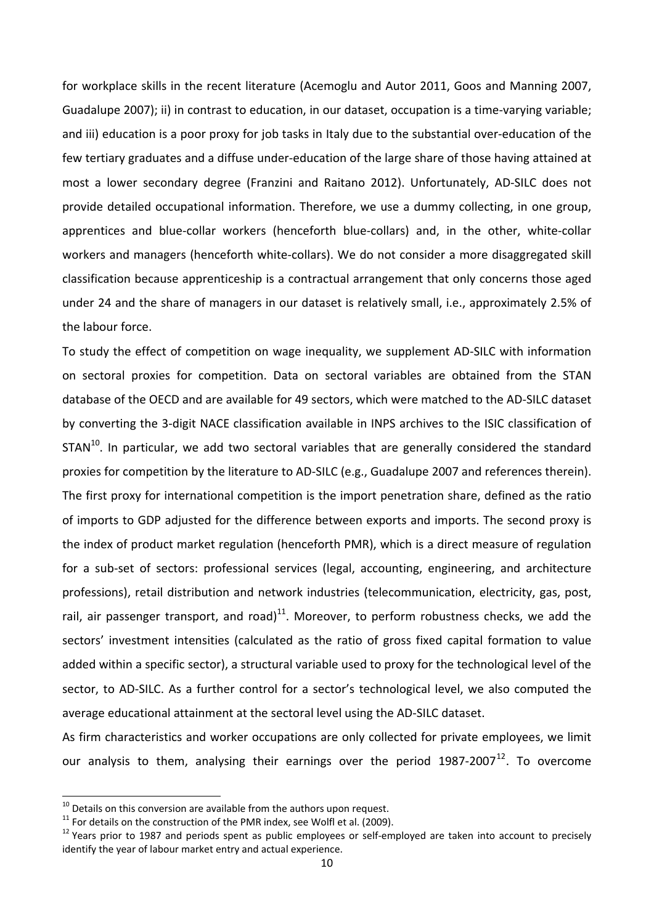for workplace skills in the recent literature (Acemoglu and Autor 2011, Goos and Manning 2007, Guadalupe 2007); ii) in contrast to education, in our dataset, occupation is a time‐varying variable; and iii) education is a poor proxy for job tasks in Italy due to the substantial over‐education of the few tertiary graduates and a diffuse under‐education of the large share of those having attained at most a lower secondary degree (Franzini and Raitano 2012). Unfortunately, AD‐SILC does not provide detailed occupational information. Therefore, we use a dummy collecting, in one group, apprentices and blue-collar workers (henceforth blue-collars) and, in the other, white-collar workers and managers (henceforth white-collars). We do not consider a more disaggregated skill classification because apprenticeship is a contractual arrangement that only concerns those aged under 24 and the share of managers in our dataset is relatively small, i.e., approximately 2.5% of the labour force.

To study the effect of competition on wage inequality, we supplement AD‐SILC with information on sectoral proxies for competition. Data on sectoral variables are obtained from the STAN database of the OECD and are available for 49 sectors, which were matched to the AD‐SILC dataset by converting the 3‐digit NACE classification available in INPS archives to the ISIC classification of  $STAN<sup>10</sup>$ . In particular, we add two sectoral variables that are generally considered the standard proxies for competition by the literature to AD‐SILC (e.g., Guadalupe 2007 and references therein). The first proxy for international competition is the import penetration share, defined as the ratio of imports to GDP adjusted for the difference between exports and imports. The second proxy is the index of product market regulation (henceforth PMR), which is a direct measure of regulation for a sub‐set of sectors: professional services (legal, accounting, engineering, and architecture professions), retail distribution and network industries (telecommunication, electricity, gas, post, rail, air passenger transport, and road)<sup>11</sup>. Moreover, to perform robustness checks, we add the sectors' investment intensities (calculated as the ratio of gross fixed capital formation to value added within a specific sector), a structural variable used to proxy for the technological level of the sector, to AD-SILC. As a further control for a sector's technological level, we also computed the average educational attainment at the sectoral level using the AD‐SILC dataset.

As firm characteristics and worker occupations are only collected for private employees, we limit our analysis to them, analysing their earnings over the period  $1987-2007^{12}$ . To overcome

<sup>&</sup>lt;sup>10</sup> Details on this conversion are available from the authors upon request.<br><sup>11</sup> For details on the construction of the PMR index, see Wolfl et al. (2009).<br><sup>12</sup> Years prior to 1987 and periods spent as public employees o identify the year of labour market entry and actual experience.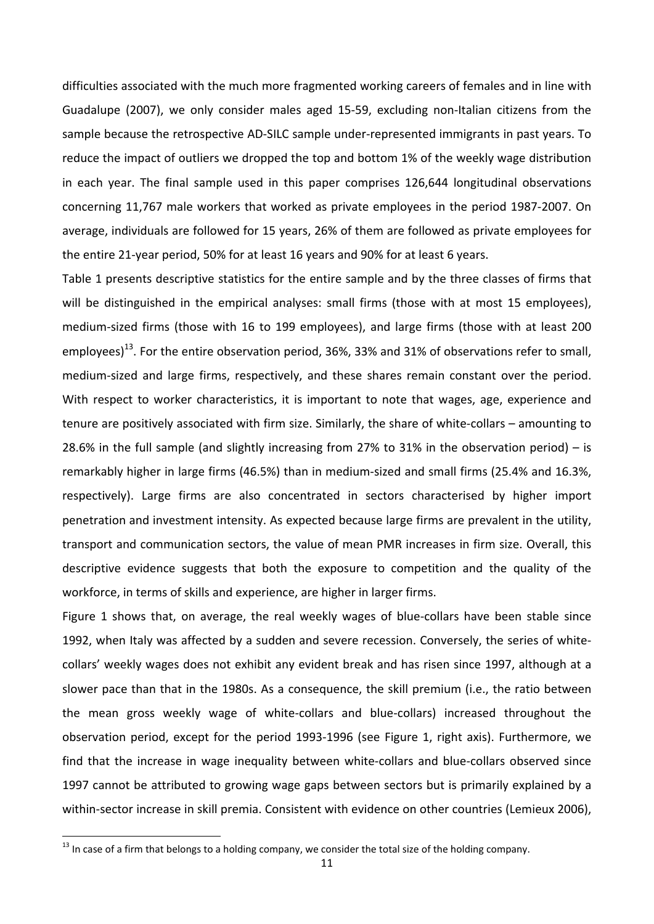difficulties associated with the much more fragmented working careers of females and in line with Guadalupe (2007), we only consider males aged 15‐59, excluding non‐Italian citizens from the sample because the retrospective AD‐SILC sample under‐represented immigrants in past years. To reduce the impact of outliers we dropped the top and bottom 1% of the weekly wage distribution in each year. The final sample used in this paper comprises 126,644 longitudinal observations concerning 11,767 male workers that worked as private employees in the period 1987‐2007. On average, individuals are followed for 15 years, 26% of them are followed as private employees for the entire 21‐year period, 50% for at least 16 years and 90% for at least 6 years.

Table 1 presents descriptive statistics for the entire sample and by the three classes of firms that will be distinguished in the empirical analyses: small firms (those with at most 15 employees), medium‐sized firms (those with 16 to 199 employees), and large firms (those with at least 200 employees)<sup>13</sup>. For the entire observation period, 36%, 33% and 31% of observations refer to small, medium‐sized and large firms, respectively, and these shares remain constant over the period. With respect to worker characteristics, it is important to note that wages, age, experience and tenure are positively associated with firm size. Similarly, the share of white-collars – amounting to 28.6% in the full sample (and slightly increasing from 27% to 31% in the observation period) – is remarkably higher in large firms (46.5%) than in medium‐sized and small firms (25.4% and 16.3%, respectively). Large firms are also concentrated in sectors characterised by higher import penetration and investment intensity. As expected because large firms are prevalent in the utility, transport and communication sectors, the value of mean PMR increases in firm size. Overall, this descriptive evidence suggests that both the exposure to competition and the quality of the workforce, in terms of skills and experience, are higher in larger firms.

Figure 1 shows that, on average, the real weekly wages of blue-collars have been stable since 1992, when Italy was affected by a sudden and severe recession. Conversely, the series of white‐ collars' weekly wages does not exhibit any evident break and has risen since 1997, although at a slower pace than that in the 1980s. As a consequence, the skill premium (i.e., the ratio between the mean gross weekly wage of white‐collars and blue‐collars) increased throughout the observation period, except for the period 1993‐1996 (see Figure 1, right axis). Furthermore, we find that the increase in wage inequality between white-collars and blue-collars observed since 1997 cannot be attributed to growing wage gaps between sectors but is primarily explained by a within-sector increase in skill premia. Consistent with evidence on other countries (Lemieux 2006),

<sup>&</sup>lt;sup>13</sup> In case of a firm that belongs to a holding company, we consider the total size of the holding company.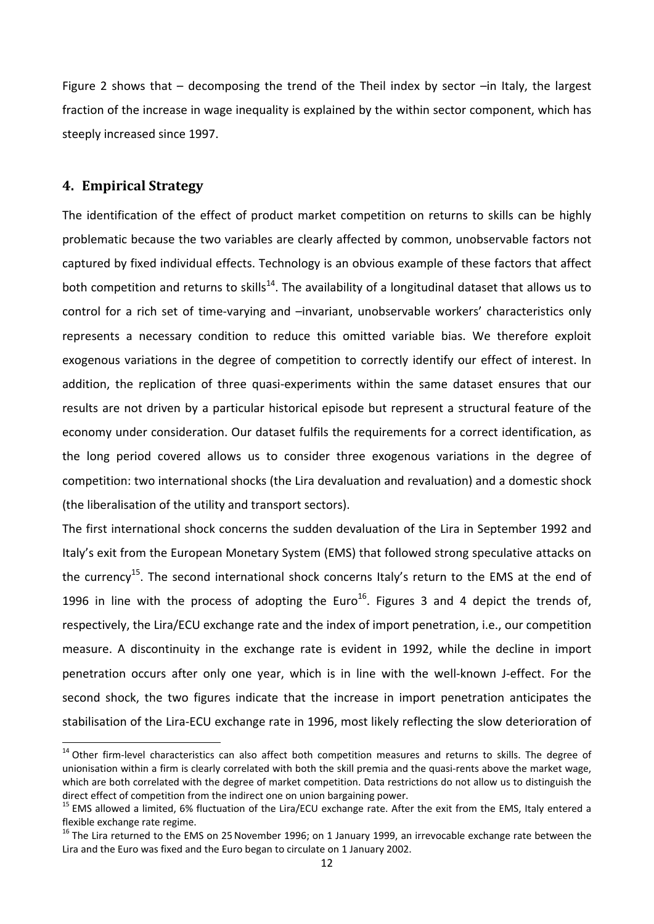Figure 2 shows that  $-$  decomposing the trend of the Theil index by sector  $-$ in Italy, the largest fraction of the increase in wage inequality is explained by the within sector component, which has steeply increased since 1997.

#### **4. Empirical Strategy**

The identification of the effect of product market competition on returns to skills can be highly problematic because the two variables are clearly affected by common, unobservable factors not captured by fixed individual effects. Technology is an obvious example of these factors that affect both competition and returns to skills<sup>14</sup>. The availability of a longitudinal dataset that allows us to control for a rich set of time-varying and -invariant, unobservable workers' characteristics only represents a necessary condition to reduce this omitted variable bias. We therefore exploit exogenous variations in the degree of competition to correctly identify our effect of interest. In addition, the replication of three quasi-experiments within the same dataset ensures that our results are not driven by a particular historical episode but represent a structural feature of the economy under consideration. Our dataset fulfils the requirements for a correct identification, as the long period covered allows us to consider three exogenous variations in the degree of competition: two international shocks (the Lira devaluation and revaluation) and a domestic shock (the liberalisation of the utility and transport sectors).

The first international shock concerns the sudden devaluation of the Lira in September 1992 and Italy's exit from the European Monetary System (EMS) that followed strong speculative attacks on the currency<sup>15</sup>. The second international shock concerns Italy's return to the EMS at the end of 1996 in line with the process of adopting the Euro<sup>16</sup>. Figures 3 and 4 depict the trends of, respectively, the Lira/ECU exchange rate and the index of import penetration, i.e., our competition measure. A discontinuity in the exchange rate is evident in 1992, while the decline in import penetration occurs after only one year, which is in line with the well-known J-effect. For the second shock, the two figures indicate that the increase in import penetration anticipates the stabilisation of the Lira‐ECU exchange rate in 1996, most likely reflecting the slow deterioration of

 $14$  Other firm-level characteristics can also affect both competition measures and returns to skills. The degree of unionisation within a firm is clearly correlated with both the skill premia and the quasi-rents above the market wage, which are both correlated with the degree of market competition. Data restrictions do not allow us to distinguish the direct effect of competition from the indirect one on union bargaining power.<br><sup>15</sup> EMS allowed a limited, 6% fluctuation of the Lira/ECU exchange rate. After the exit from the EMS, Italy entered a

flexible exchange rate regime.<br><sup>16</sup> The Lira returned to the EMS on 25 November 1996; on 1 January 1999, an irrevocable exchange rate between the

Lira and the Euro was fixed and the Euro began to circulate on 1 January 2002.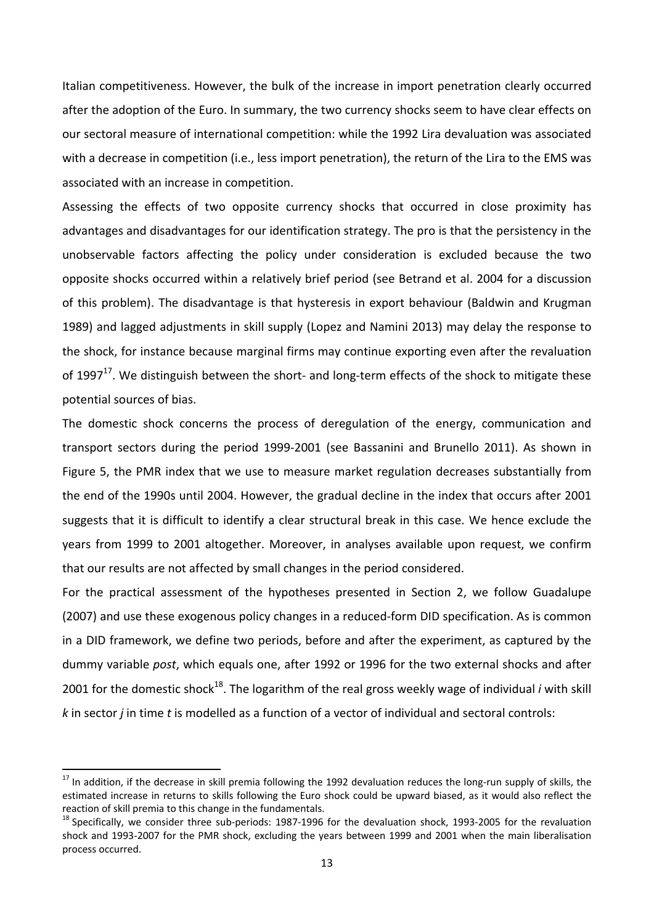Italian competitiveness. However, the bulk of the increase in import penetration clearly occurred after the adoption of the Euro. In summary, the two currency shocks seem to have clear effects on our sectoral measure of international competition: while the 1992 Lira devaluation was associated with a decrease in competition (i.e., less import penetration), the return of the Lira to the EMS was associated with an increase in competition.

Assessing the effects of two opposite currency shocks that occurred in close proximity has advantages and disadvantages for our identification strategy. The pro is that the persistency in the unobservable factors affecting the policy under consideration is excluded because the two opposite shocks occurred within a relatively brief period (see Betrand et al. 2004 for a discussion of this problem). The disadvantage is that hysteresis in export behaviour (Baldwin and Krugman 1989) and lagged adjustments in skill supply (Lopez and Namini 2013) may delay the response to the shock, for instance because marginal firms may continue exporting even after the revaluation of 1997<sup>17</sup>. We distinguish between the short- and long-term effects of the shock to mitigate these potential sources of bias.

The domestic shock concerns the process of deregulation of the energy, communication and transport sectors during the period 1999‐2001 (see Bassanini and Brunello 2011). As shown in Figure 5, the PMR index that we use to measure market regulation decreases substantially from the end of the 1990s until 2004. However, the gradual decline in the index that occurs after 2001 suggests that it is difficult to identify a clear structural break in this case. We hence exclude the years from 1999 to 2001 altogether. Moreover, in analyses available upon request, we confirm that our results are not affected by small changes in the period considered.

For the practical assessment of the hypotheses presented in Section 2, we follow Guadalupe (2007) and use these exogenous policy changes in a reduced-form DID specification. As is common in a DID framework, we define two periods, before and after the experiment, as captured by the dummy variable *post*, which equals one, after 1992 or 1996 for the two external shocks and after 2001 for the domestic shock<sup>18</sup>. The logarithm of the real gross weekly wage of individual *i* with skill *k* in sector *j* in time *t* is modelled as a function of a vector of individual and sectoral controls:

 $17$  In addition, if the decrease in skill premia following the 1992 devaluation reduces the long-run supply of skills, the estimated increase in returns to skills following the Euro shock could be upward biased, as it would also reflect the reaction of skill premia to this change in the fundamentals.<br><sup>18</sup> Specifically, we consider three sub-periods: 1987‐1996 for the devaluation shock, 1993‐2005 for the revaluation

shock and 1993‐2007 for the PMR shock, excluding the years between 1999 and 2001 when the main liberalisation process occurred.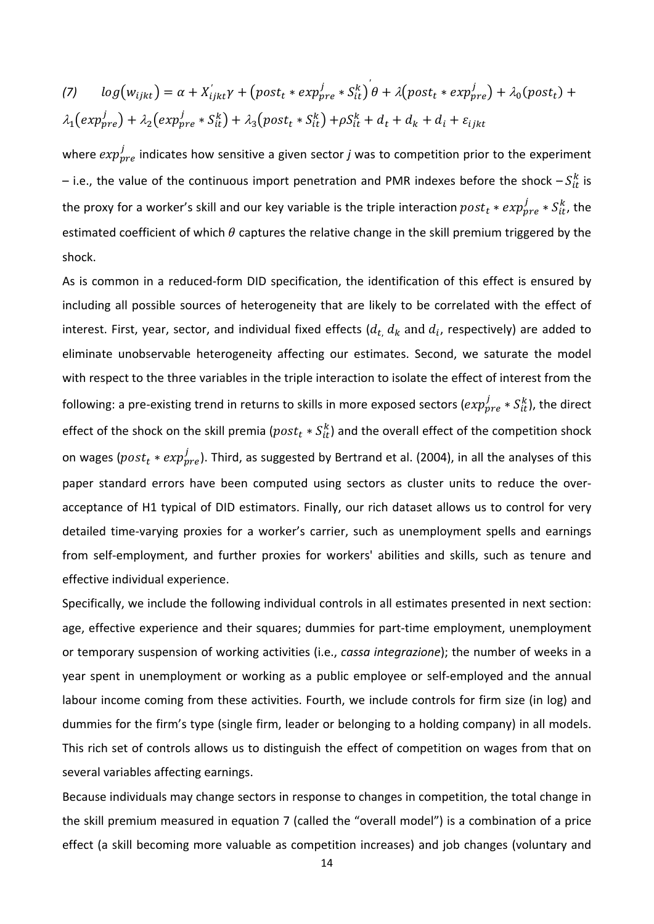(7) 
$$
log(w_{ijkt}) = \alpha + X'_{ijkt}\gamma + (post_t * exp^j_{pre} * S^k_{it}) \theta + \lambda (post_t * exp^j_{pre}) + \lambda_0 (post_t) + \lambda_1 (exp^j_{pre}) + \lambda_2 (exp^j_{pre} * S^k_{it}) + \lambda_3 (post_t * S^k_{it}) + \rho S^k_{it} + d_t + d_k + d_i + \varepsilon_{ijkt}
$$

where  $exp^j_{pre}$  indicates how sensitive a given sector *j* was to competition prior to the experiment – i.e., the value of the continuous import penetration and PMR indexes before the shock  $-S^k_{tt}$  is the proxy for a worker's skill and our key variable is the triple interaction  $post_t * exp^j_{pre} * S^k_{it}$ , the estimated coefficient of which  $\theta$  captures the relative change in the skill premium triggered by the shock.

As is common in a reduced‐form DID specification, the identification of this effect is ensured by including all possible sources of heterogeneity that are likely to be correlated with the effect of interest. First, year, sector, and individual fixed effects  $(d_t, d_k$  and  $d_i$ , respectively) are added to eliminate unobservable heterogeneity affecting our estimates. Second, we saturate the model with respect to the three variables in the triple interaction to isolate the effect of interest from the following: a pre-existing trend in returns to skills in more exposed sectors ( $exp^j_{pre}*S^k_{it}$ ), the direct effect of the shock on the skill premia ( $post_t * S_{it}^k$ ) and the overall effect of the competition shock on wages ( $post_t * exp^{j}_{pre}$ ). Third, as suggested by Bertrand et al. (2004), in all the analyses of this paper standard errors have been computed using sectors as cluster units to reduce the overacceptance of H1 typical of DID estimators. Finally, our rich dataset allows us to control for very detailed time‐varying proxies for a worker's carrier, such as unemployment spells and earnings from self‐employment, and further proxies for workers' abilities and skills, such as tenure and effective individual experience.

Specifically, we include the following individual controls in all estimates presented in next section: age, effective experience and their squares; dummies for part-time employment, unemployment or temporary suspension of working activities (i.e., *cassa integrazione*); the number of weeks in a year spent in unemployment or working as a public employee or self-employed and the annual labour income coming from these activities. Fourth, we include controls for firm size (in log) and dummies for the firm's type (single firm, leader or belonging to a holding company) in all models. This rich set of controls allows us to distinguish the effect of competition on wages from that on several variables affecting earnings.

Because individuals may change sectors in response to changes in competition, the total change in the skill premium measured in equation 7 (called the "overall model") is a combination of a price effect (a skill becoming more valuable as competition increases) and job changes (voluntary and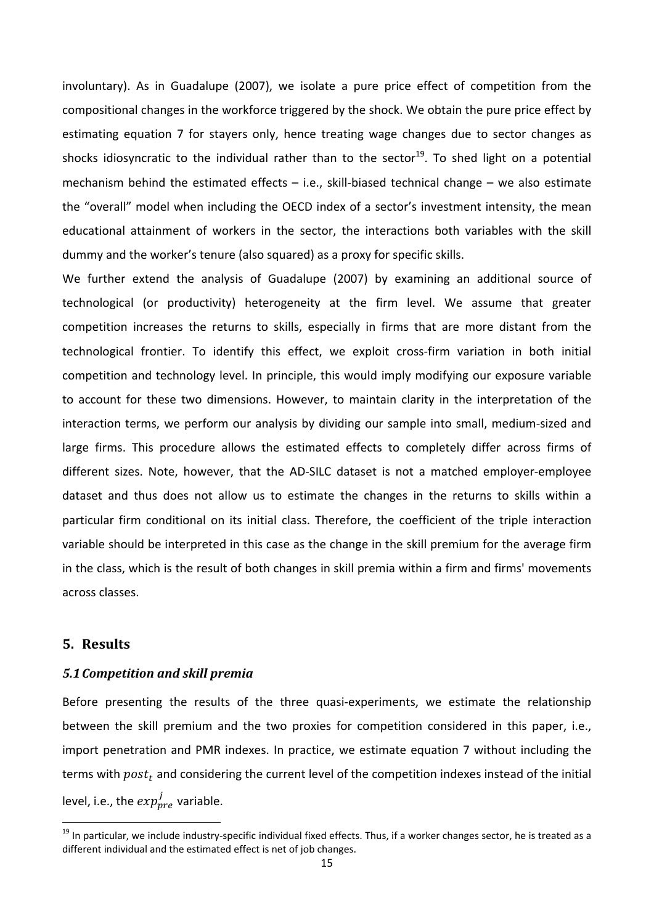involuntary). As in Guadalupe (2007), we isolate a pure price effect of competition from the compositional changes in the workforce triggered by the shock. We obtain the pure price effect by estimating equation 7 for stayers only, hence treating wage changes due to sector changes as shocks idiosyncratic to the individual rather than to the sector<sup>19</sup>. To shed light on a potential mechanism behind the estimated effects  $-$  i.e., skill-biased technical change  $-$  we also estimate the "overall" model when including the OECD index of a sector's investment intensity, the mean educational attainment of workers in the sector, the interactions both variables with the skill dummy and the worker's tenure (also squared) as a proxy for specific skills.

We further extend the analysis of Guadalupe (2007) by examining an additional source of technological (or productivity) heterogeneity at the firm level. We assume that greater competition increases the returns to skills, especially in firms that are more distant from the technological frontier. To identify this effect, we exploit cross‐firm variation in both initial competition and technology level. In principle, this would imply modifying our exposure variable to account for these two dimensions. However, to maintain clarity in the interpretation of the interaction terms, we perform our analysis by dividing our sample into small, medium‐sized and large firms. This procedure allows the estimated effects to completely differ across firms of different sizes. Note, however, that the AD‐SILC dataset is not a matched employer‐employee dataset and thus does not allow us to estimate the changes in the returns to skills within a particular firm conditional on its initial class. Therefore, the coefficient of the triple interaction variable should be interpreted in this case as the change in the skill premium for the average firm in the class, which is the result of both changes in skill premia within a firm and firms' movements across classes.

#### **5.** Results

#### *5.1Competition and skill premia*

Before presenting the results of the three quasi-experiments, we estimate the relationship between the skill premium and the two proxies for competition considered in this paper, i.e., import penetration and PMR indexes. In practice, we estimate equation 7 without including the terms with  $post_t$  and considering the current level of the competition indexes instead of the initial level, i.e., the  $exp^j_{pre}$  variable.

<sup>&</sup>lt;sup>19</sup> In particular, we include industry-specific individual fixed effects. Thus, if a worker changes sector, he is treated as a different individual and the estimated effect is net of job changes.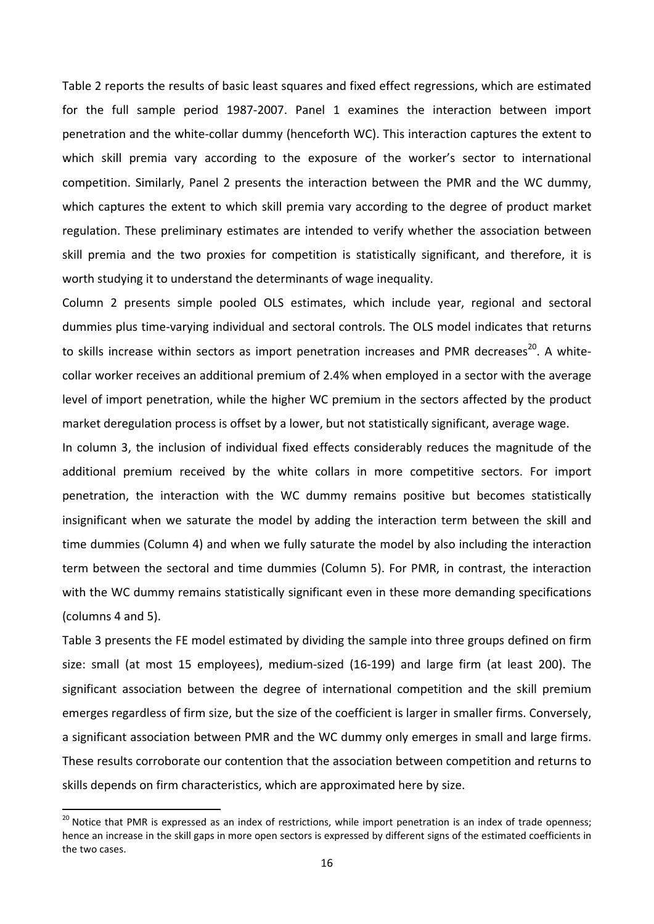Table 2 reports the results of basic least squares and fixed effect regressions, which are estimated for the full sample period 1987‐2007. Panel 1 examines the interaction between import penetration and the white‐collar dummy (henceforth WC). This interaction captures the extent to which skill premia vary according to the exposure of the worker's sector to international competition. Similarly, Panel 2 presents the interaction between the PMR and the WC dummy, which captures the extent to which skill premia vary according to the degree of product market regulation. These preliminary estimates are intended to verify whether the association between skill premia and the two proxies for competition is statistically significant, and therefore, it is worth studying it to understand the determinants of wage inequality.

Column 2 presents simple pooled OLS estimates, which include year, regional and sectoral dummies plus time‐varying individual and sectoral controls. The OLS model indicates that returns to skills increase within sectors as import penetration increases and PMR decreases<sup>20</sup>. A whitecollar worker receives an additional premium of 2.4% when employed in a sector with the average level of import penetration, while the higher WC premium in the sectors affected by the product market deregulation process is offset by a lower, but not statistically significant, average wage.

In column 3, the inclusion of individual fixed effects considerably reduces the magnitude of the additional premium received by the white collars in more competitive sectors. For import penetration, the interaction with the WC dummy remains positive but becomes statistically insignificant when we saturate the model by adding the interaction term between the skill and time dummies (Column 4) and when we fully saturate the model by also including the interaction term between the sectoral and time dummies (Column 5). For PMR, in contrast, the interaction with the WC dummy remains statistically significant even in these more demanding specifications (columns 4 and 5).

Table 3 presents the FE model estimated by dividing the sample into three groups defined on firm size: small (at most 15 employees), medium‐sized (16‐199) and large firm (at least 200). The significant association between the degree of international competition and the skill premium emerges regardless of firm size, but the size of the coefficient is larger in smaller firms. Conversely, a significant association between PMR and the WC dummy only emerges in small and large firms. These results corroborate our contention that the association between competition and returns to skills depends on firm characteristics, which are approximated here by size.

 $^{20}$  Notice that PMR is expressed as an index of restrictions, while import penetration is an index of trade openness; hence an increase in the skill gaps in more open sectors is expressed by different signs of the estimated coefficients in the two cases.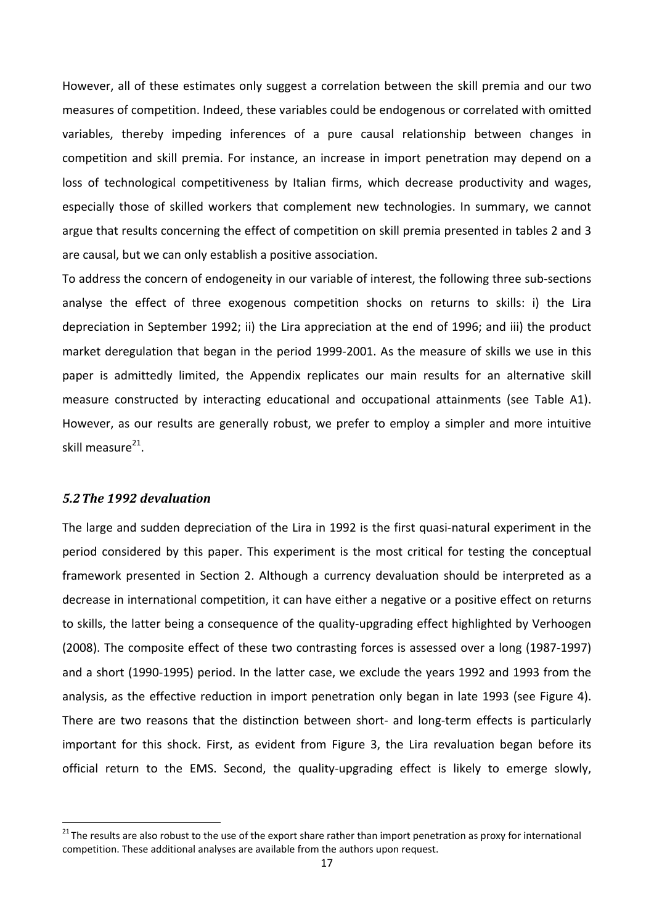However, all of these estimates only suggest a correlation between the skill premia and our two measures of competition. Indeed, these variables could be endogenous or correlated with omitted variables, thereby impeding inferences of a pure causal relationship between changes in competition and skill premia. For instance, an increase in import penetration may depend on a loss of technological competitiveness by Italian firms, which decrease productivity and wages, especially those of skilled workers that complement new technologies. In summary, we cannot argue that results concerning the effect of competition on skill premia presented in tables 2 and 3 are causal, but we can only establish a positive association.

To address the concern of endogeneity in our variable of interest, the following three sub‐sections analyse the effect of three exogenous competition shocks on returns to skills: i) the Lira depreciation in September 1992; ii) the Lira appreciation at the end of 1996; and iii) the product market deregulation that began in the period 1999‐2001. As the measure of skills we use in this paper is admittedly limited, the Appendix replicates our main results for an alternative skill measure constructed by interacting educational and occupational attainments (see Table A1). However, as our results are generally robust, we prefer to employ a simpler and more intuitive skill measure $^{21}$ .

#### *5.2The 1992 devaluation*

The large and sudden depreciation of the Lira in 1992 is the first quasi-natural experiment in the period considered by this paper. This experiment is the most critical for testing the conceptual framework presented in Section 2. Although a currency devaluation should be interpreted as a decrease in international competition, it can have either a negative or a positive effect on returns to skills, the latter being a consequence of the quality-upgrading effect highlighted by Verhoogen (2008). The composite effect of these two contrasting forces is assessed over a long (1987‐1997) and a short (1990‐1995) period. In the latter case, we exclude the years 1992 and 1993 from the analysis, as the effective reduction in import penetration only began in late 1993 (see Figure 4). There are two reasons that the distinction between short- and long-term effects is particularly important for this shock. First, as evident from Figure 3, the Lira revaluation began before its official return to the EMS. Second, the quality-upgrading effect is likely to emerge slowly,

 $21$  The results are also robust to the use of the export share rather than import penetration as proxy for international competition. These additional analyses are available from the authors upon request.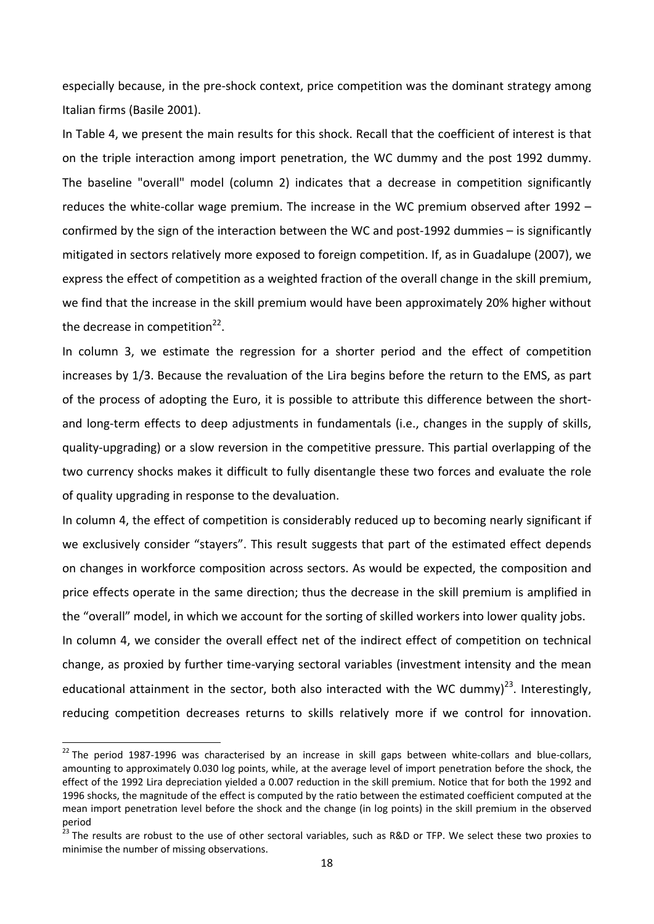especially because, in the pre‐shock context, price competition was the dominant strategy among Italian firms (Basile 2001).

In Table 4, we present the main results for this shock. Recall that the coefficient of interest is that on the triple interaction among import penetration, the WC dummy and the post 1992 dummy. The baseline "overall" model (column 2) indicates that a decrease in competition significantly reduces the white-collar wage premium. The increase in the WC premium observed after 1992 – confirmed by the sign of the interaction between the WC and post‐1992 dummies – is significantly mitigated in sectors relatively more exposed to foreign competition. If, as in Guadalupe (2007), we express the effect of competition as a weighted fraction of the overall change in the skill premium, we find that the increase in the skill premium would have been approximately 20% higher without the decrease in competition $^{22}$ .

In column 3, we estimate the regression for a shorter period and the effect of competition increases by 1/3. Because the revaluation of the Lira begins before the return to the EMS, as part of the process of adopting the Euro, it is possible to attribute this difference between the short‐ and long-term effects to deep adjustments in fundamentals (i.e., changes in the supply of skills, quality‐upgrading) or a slow reversion in the competitive pressure. This partial overlapping of the two currency shocks makes it difficult to fully disentangle these two forces and evaluate the role of quality upgrading in response to the devaluation.

In column 4, the effect of competition is considerably reduced up to becoming nearly significant if we exclusively consider "stayers". This result suggests that part of the estimated effect depends on changes in workforce composition across sectors. As would be expected, the composition and price effects operate in the same direction; thus the decrease in the skill premium is amplified in the "overall" model, in which we account for the sorting of skilled workers into lower quality jobs. In column 4, we consider the overall effect net of the indirect effect of competition on technical change, as proxied by further time‐varying sectoral variables (investment intensity and the mean educational attainment in the sector, both also interacted with the WC dummy)<sup>23</sup>. Interestingly, reducing competition decreases returns to skills relatively more if we control for innovation.

<sup>&</sup>lt;sup>22</sup> The period 1987-1996 was characterised by an increase in skill gaps between white-collars and blue-collars, amounting to approximately 0.030 log points, while, at the average level of import penetration before the shock, the effect of the 1992 Lira depreciation yielded a 0.007 reduction in the skill premium. Notice that for both the 1992 and 1996 shocks, the magnitude of the effect is computed by the ratio between the estimated coefficient computed at the mean import penetration level before the shock and the change (in log points) in the skill premium in the observed period

The results are robust to the use of other sectoral variables, such as R&D or TFP. We select these two proxies to minimise the number of missing observations.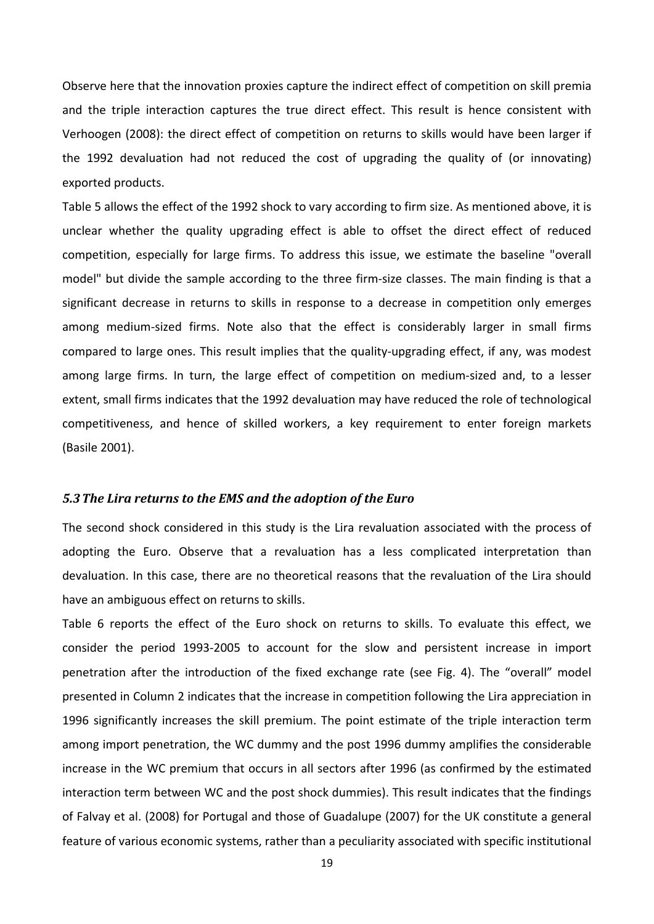Observe here that the innovation proxies capture the indirect effect of competition on skill premia and the triple interaction captures the true direct effect. This result is hence consistent with Verhoogen (2008): the direct effect of competition on returns to skills would have been larger if the 1992 devaluation had not reduced the cost of upgrading the quality of (or innovating) exported products.

Table 5 allows the effect of the 1992 shock to vary according to firm size. As mentioned above, it is unclear whether the quality upgrading effect is able to offset the direct effect of reduced competition, especially for large firms. To address this issue, we estimate the baseline "overall model" but divide the sample according to the three firm‐size classes. The main finding is that a significant decrease in returns to skills in response to a decrease in competition only emerges among medium‐sized firms. Note also that the effect is considerably larger in small firms compared to large ones. This result implies that the quality‐upgrading effect, if any, was modest among large firms. In turn, the large effect of competition on medium‐sized and, to a lesser extent, small firms indicates that the 1992 devaluation may have reduced the role of technological competitiveness, and hence of skilled workers, a key requirement to enter foreign markets (Basile 2001).

#### *5.3The Lira returns to the EMS and the adoption of the Euro*

The second shock considered in this study is the Lira revaluation associated with the process of adopting the Euro. Observe that a revaluation has a less complicated interpretation than devaluation. In this case, there are no theoretical reasons that the revaluation of the Lira should have an ambiguous effect on returns to skills.

Table 6 reports the effect of the Euro shock on returns to skills. To evaluate this effect, we consider the period 1993‐2005 to account for the slow and persistent increase in import penetration after the introduction of the fixed exchange rate (see Fig. 4). The "overall" model presented in Column 2 indicates that the increase in competition following the Lira appreciation in 1996 significantly increases the skill premium. The point estimate of the triple interaction term among import penetration, the WC dummy and the post 1996 dummy amplifies the considerable increase in the WC premium that occurs in all sectors after 1996 (as confirmed by the estimated interaction term between WC and the post shock dummies). This result indicates that the findings of Falvay et al. (2008) for Portugal and those of Guadalupe (2007) for the UK constitute a general feature of various economic systems, rather than a peculiarity associated with specific institutional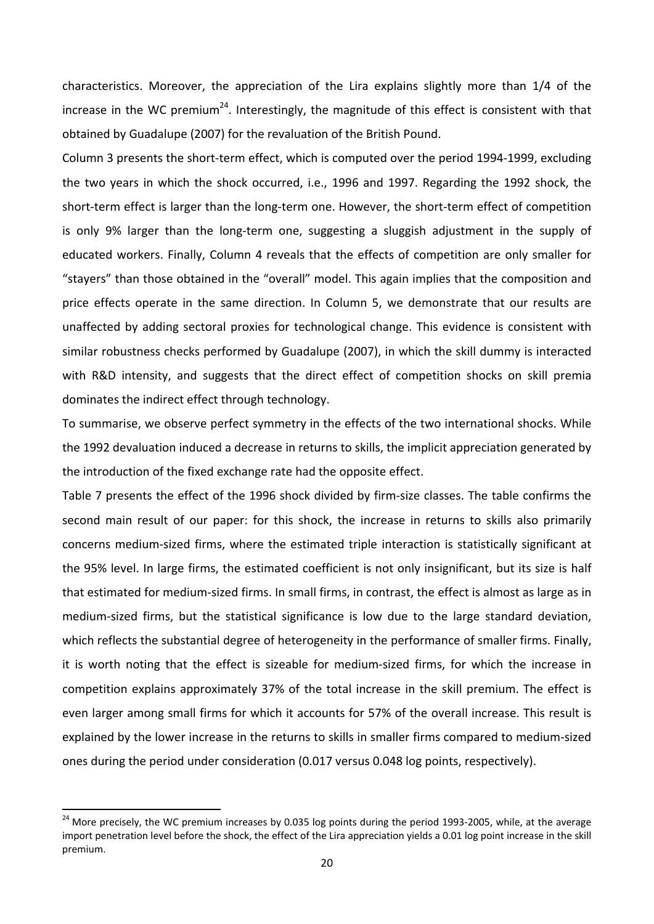characteristics. Moreover, the appreciation of the Lira explains slightly more than 1/4 of the increase in the WC premium<sup>24</sup>. Interestingly, the magnitude of this effect is consistent with that obtained by Guadalupe (2007) for the revaluation of the British Pound.

Column 3 presents the short‐term effect, which is computed over the period 1994‐1999, excluding the two years in which the shock occurred, i.e., 1996 and 1997. Regarding the 1992 shock, the short‐term effect is larger than the long‐term one. However, the short‐term effect of competition is only 9% larger than the long‐term one, suggesting a sluggish adjustment in the supply of educated workers. Finally, Column 4 reveals that the effects of competition are only smaller for "stayers" than those obtained in the "overall" model. This again implies that the composition and price effects operate in the same direction. In Column 5, we demonstrate that our results are unaffected by adding sectoral proxies for technological change. This evidence is consistent with similar robustness checks performed by Guadalupe (2007), in which the skill dummy is interacted with R&D intensity, and suggests that the direct effect of competition shocks on skill premia dominates the indirect effect through technology.

To summarise, we observe perfect symmetry in the effects of the two international shocks. While the 1992 devaluation induced a decrease in returns to skills, the implicit appreciation generated by the introduction of the fixed exchange rate had the opposite effect.

Table 7 presents the effect of the 1996 shock divided by firm‐size classes. The table confirms the second main result of our paper: for this shock, the increase in returns to skills also primarily concerns medium‐sized firms, where the estimated triple interaction is statistically significant at the 95% level. In large firms, the estimated coefficient is not only insignificant, but its size is half that estimated for medium‐sized firms. In small firms, in contrast, the effect is almost as large as in medium‐sized firms, but the statistical significance is low due to the large standard deviation, which reflects the substantial degree of heterogeneity in the performance of smaller firms. Finally, it is worth noting that the effect is sizeable for medium‐sized firms, for which the increase in competition explains approximately 37% of the total increase in the skill premium. The effect is even larger among small firms for which it accounts for 57% of the overall increase. This result is explained by the lower increase in the returns to skills in smaller firms compared to medium‐sized ones during the period under consideration (0.017 versus 0.048 log points, respectively).

<sup>&</sup>lt;sup>24</sup> More precisely, the WC premium increases by 0.035 log points during the period 1993-2005, while, at the average import penetration level before the shock, the effect of the Lira appreciation yields a 0.01 log point increase in the skill premium.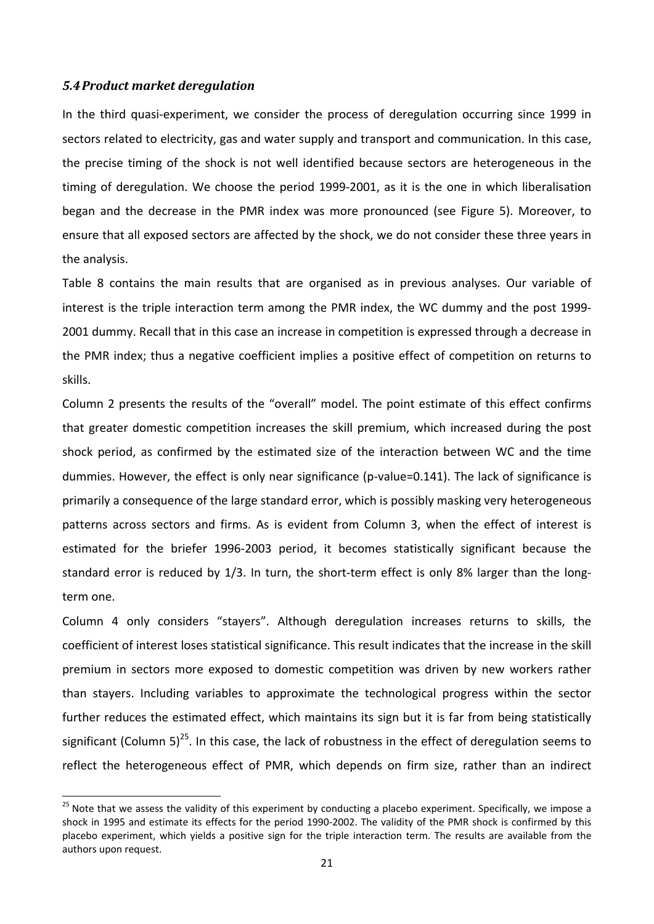#### *5.4Product market deregulation*

In the third quasi‐experiment, we consider the process of deregulation occurring since 1999 in sectors related to electricity, gas and water supply and transport and communication. In this case, the precise timing of the shock is not well identified because sectors are heterogeneous in the timing of deregulation. We choose the period 1999‐2001, as it is the one in which liberalisation began and the decrease in the PMR index was more pronounced (see Figure 5). Moreover, to ensure that all exposed sectors are affected by the shock, we do not consider these three years in the analysis.

Table 8 contains the main results that are organised as in previous analyses. Our variable of interest is the triple interaction term among the PMR index, the WC dummy and the post 1999‐ 2001 dummy. Recall that in this case an increase in competition is expressed through a decrease in the PMR index; thus a negative coefficient implies a positive effect of competition on returns to skills.

Column 2 presents the results of the "overall" model. The point estimate of this effect confirms that greater domestic competition increases the skill premium, which increased during the post shock period, as confirmed by the estimated size of the interaction between WC and the time dummies. However, the effect is only near significance (p‐value=0.141). The lack of significance is primarily a consequence of the large standard error, which is possibly masking very heterogeneous patterns across sectors and firms. As is evident from Column 3, when the effect of interest is estimated for the briefer 1996‐2003 period, it becomes statistically significant because the standard error is reduced by 1/3. In turn, the short-term effect is only 8% larger than the longterm one.

Column 4 only considers "stayers". Although deregulation increases returns to skills, the coefficient of interest loses statistical significance. This result indicates that the increase in the skill premium in sectors more exposed to domestic competition was driven by new workers rather than stayers. Including variables to approximate the technological progress within the sector further reduces the estimated effect, which maintains its sign but it is far from being statistically significant (Column 5)<sup>25</sup>. In this case, the lack of robustness in the effect of deregulation seems to reflect the heterogeneous effect of PMR, which depends on firm size, rather than an indirect

<sup>&</sup>lt;sup>25</sup> Note that we assess the validity of this experiment by conducting a placebo experiment. Specifically, we impose a shock in 1995 and estimate its effects for the period 1990‐2002. The validity of the PMR shock is confirmed by this placebo experiment, which yields a positive sign for the triple interaction term. The results are available from the authors upon request.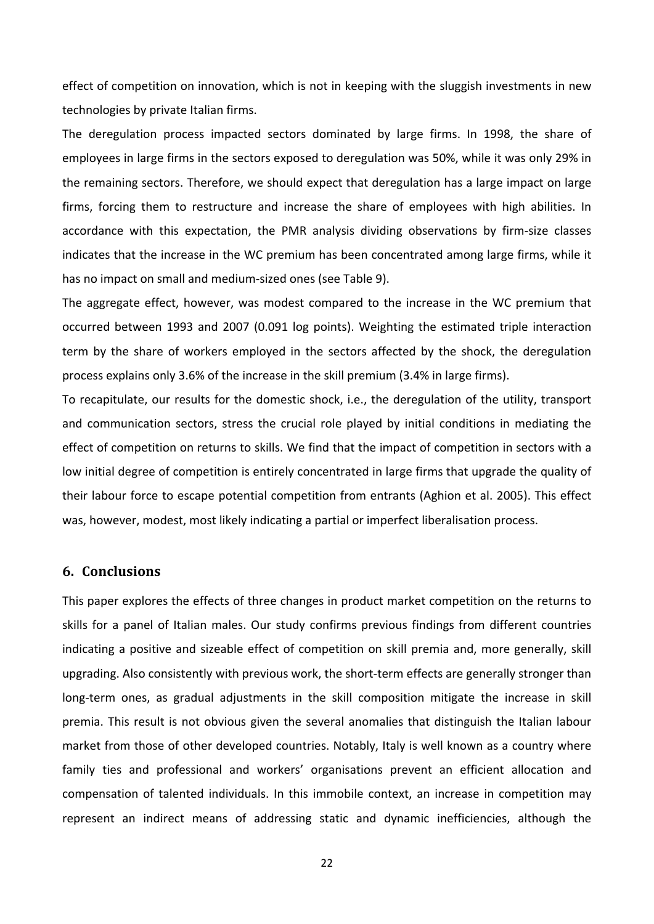effect of competition on innovation, which is not in keeping with the sluggish investments in new technologies by private Italian firms.

The deregulation process impacted sectors dominated by large firms. In 1998, the share of employees in large firms in the sectors exposed to deregulation was 50%, while it was only 29% in the remaining sectors. Therefore, we should expect that deregulation has a large impact on large firms, forcing them to restructure and increase the share of employees with high abilities. In accordance with this expectation, the PMR analysis dividing observations by firm‐size classes indicates that the increase in the WC premium has been concentrated among large firms, while it has no impact on small and medium‐sized ones (see Table 9).

The aggregate effect, however, was modest compared to the increase in the WC premium that occurred between 1993 and 2007 (0.091 log points). Weighting the estimated triple interaction term by the share of workers employed in the sectors affected by the shock, the deregulation process explains only 3.6% of the increase in the skill premium (3.4% in large firms).

To recapitulate, our results for the domestic shock, i.e., the deregulation of the utility, transport and communication sectors, stress the crucial role played by initial conditions in mediating the effect of competition on returns to skills. We find that the impact of competition in sectors with a low initial degree of competition is entirely concentrated in large firms that upgrade the quality of their labour force to escape potential competition from entrants (Aghion et al. 2005). This effect was, however, modest, most likely indicating a partial or imperfect liberalisation process.

#### **6. Conclusions**

This paper explores the effects of three changes in product market competition on the returns to skills for a panel of Italian males. Our study confirms previous findings from different countries indicating a positive and sizeable effect of competition on skill premia and, more generally, skill upgrading. Also consistently with previous work, the short‐term effects are generally stronger than long-term ones, as gradual adjustments in the skill composition mitigate the increase in skill premia. This result is not obvious given the several anomalies that distinguish the Italian labour market from those of other developed countries. Notably, Italy is well known as a country where family ties and professional and workers' organisations prevent an efficient allocation and compensation of talented individuals. In this immobile context, an increase in competition may represent an indirect means of addressing static and dynamic inefficiencies, although the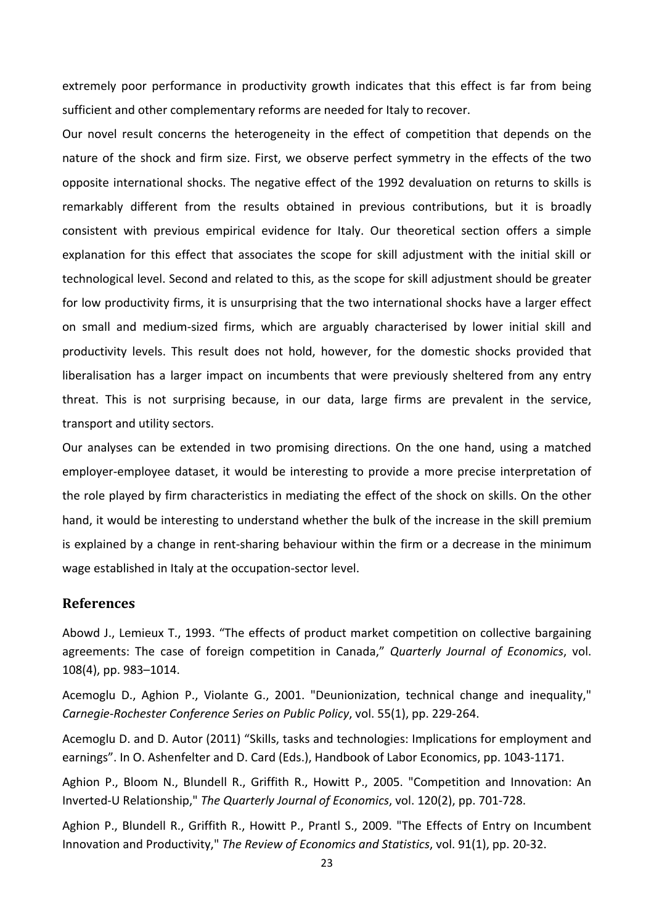extremely poor performance in productivity growth indicates that this effect is far from being sufficient and other complementary reforms are needed for Italy to recover.

Our novel result concerns the heterogeneity in the effect of competition that depends on the nature of the shock and firm size. First, we observe perfect symmetry in the effects of the two opposite international shocks. The negative effect of the 1992 devaluation on returns to skills is remarkably different from the results obtained in previous contributions, but it is broadly consistent with previous empirical evidence for Italy. Our theoretical section offers a simple explanation for this effect that associates the scope for skill adjustment with the initial skill or technological level. Second and related to this, as the scope for skill adjustment should be greater for low productivity firms, it is unsurprising that the two international shocks have a larger effect on small and medium‐sized firms, which are arguably characterised by lower initial skill and productivity levels. This result does not hold, however, for the domestic shocks provided that liberalisation has a larger impact on incumbents that were previously sheltered from any entry threat. This is not surprising because, in our data, large firms are prevalent in the service, transport and utility sectors.

Our analyses can be extended in two promising directions. On the one hand, using a matched employer‐employee dataset, it would be interesting to provide a more precise interpretation of the role played by firm characteristics in mediating the effect of the shock on skills. On the other hand, it would be interesting to understand whether the bulk of the increase in the skill premium is explained by a change in rent‐sharing behaviour within the firm or a decrease in the minimum wage established in Italy at the occupation‐sector level.

#### **References**

Abowd J., Lemieux T., 1993. "The effects of product market competition on collective bargaining agreements: The case of foreign competition in Canada," *Quarterly Journal of Economics*, vol. 108(4), pp. 983–1014.

Acemoglu D., Aghion P., Violante G., 2001. "Deunionization, technical change and inequality," *Carnegie‐Rochester Conference Series on Public Policy*, vol. 55(1), pp. 229‐264.

Acemoglu D. and D. Autor (2011) "Skills, tasks and technologies: Implications for employment and earnings". In O. Ashenfelter and D. Card (Eds.), Handbook of Labor Economics, pp. 1043‐1171.

Aghion P., Bloom N., Blundell R., Griffith R., Howitt P., 2005. "Competition and Innovation: An Inverted‐U Relationship," *The Quarterly Journal of Economics*, vol. 120(2), pp. 701‐728.

Aghion P., Blundell R., Griffith R., Howitt P., Prantl S., 2009. "The Effects of Entry on Incumbent Innovation and Productivity," *The Review of Economics and Statistics*, vol. 91(1), pp. 20‐32.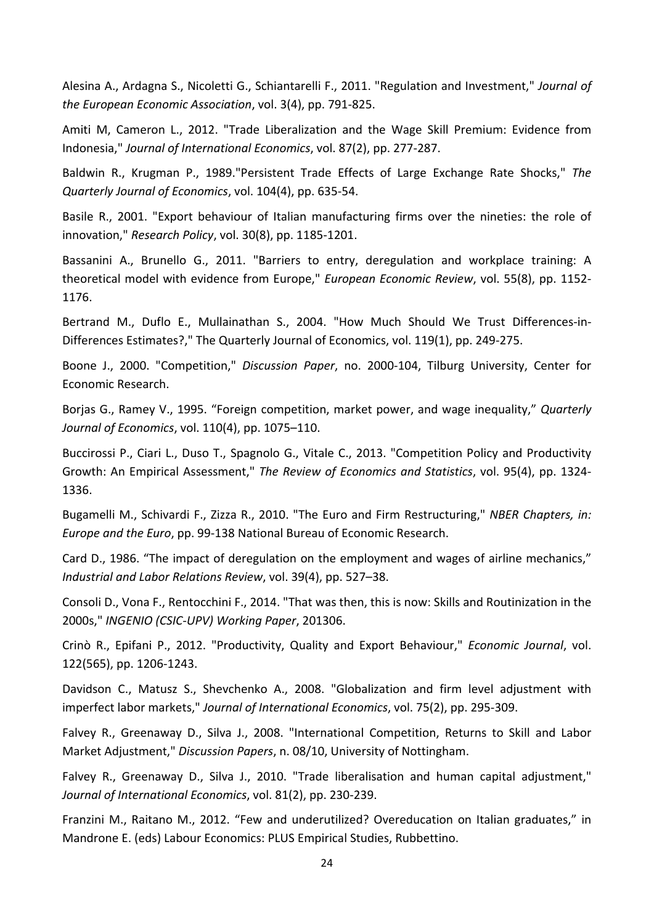Alesina A., Ardagna S., Nicoletti G., Schiantarelli F., 2011. "Regulation and Investment," *Journal of the European Economic Association*, vol. 3(4), pp. 791‐825.

Amiti M, Cameron L., 2012. "Trade Liberalization and the Wage Skill Premium: Evidence from Indonesia," *Journal of International Economics*, vol. 87(2), pp. 277‐287.

Baldwin R., Krugman P., 1989."Persistent Trade Effects of Large Exchange Rate Shocks," *The Quarterly Journal of Economics*, vol. 104(4), pp. 635‐54.

Basile R., 2001. "Export behaviour of Italian manufacturing firms over the nineties: the role of innovation," *Research Policy*, vol. 30(8), pp. 1185‐1201.

Bassanini A., Brunello G., 2011. "Barriers to entry, deregulation and workplace training: A theoretical model with evidence from Europe," *European Economic Review*, vol. 55(8), pp. 1152‐ 1176.

Bertrand M., Duflo E., Mullainathan S., 2004. "How Much Should We Trust Differences-in-Differences Estimates?," The Quarterly Journal of Economics, vol. 119(1), pp. 249‐275.

Boone J., 2000. "Competition," *Discussion Paper*, no. 2000‐104, Tilburg University, Center for Economic Research.

Borjas G., Ramey V., 1995. "Foreign competition, market power, and wage inequality," *Quarterly Journal of Economics*, vol. 110(4), pp. 1075–110.

Buccirossi P., Ciari L., Duso T., Spagnolo G., Vitale C., 2013. "Competition Policy and Productivity Growth: An Empirical Assessment," *The Review of Economics and Statistics*, vol. 95(4), pp. 1324‐ 1336.

Bugamelli M., Schivardi F., Zizza R., 2010. "The Euro and Firm Restructuring," *NBER Chapters, in: Europe and the Euro*, pp. 99‐138 National Bureau of Economic Research.

Card D., 1986. "The impact of deregulation on the employment and wages of airline mechanics," *Industrial and Labor Relations Review*, vol. 39(4), pp. 527–38.

Consoli D., Vona F., Rentocchini F., 2014. "That was then, this is now: Skills and Routinization in the 2000s," *INGENIO (CSIC‐UPV) Working Paper*, 201306.

Crinò R., Epifani P., 2012. "Productivity, Quality and Export Behaviour," *Economic Journal*, vol. 122(565), pp. 1206‐1243.

Davidson C., Matusz S., Shevchenko A., 2008. "Globalization and firm level adjustment with imperfect labor markets," *Journal of International Economics*, vol. 75(2), pp. 295‐309.

Falvey R., Greenaway D., Silva J., 2008. "International Competition, Returns to Skill and Labor Market Adjustment," *Discussion Papers*, n. 08/10, University of Nottingham.

Falvey R., Greenaway D., Silva J., 2010. "Trade liberalisation and human capital adjustment," *Journal of International Economics*, vol. 81(2), pp. 230‐239.

Franzini M., Raitano M., 2012. "Few and underutilized? Overeducation on Italian graduates," in Mandrone E. (eds) Labour Economics: PLUS Empirical Studies, Rubbettino.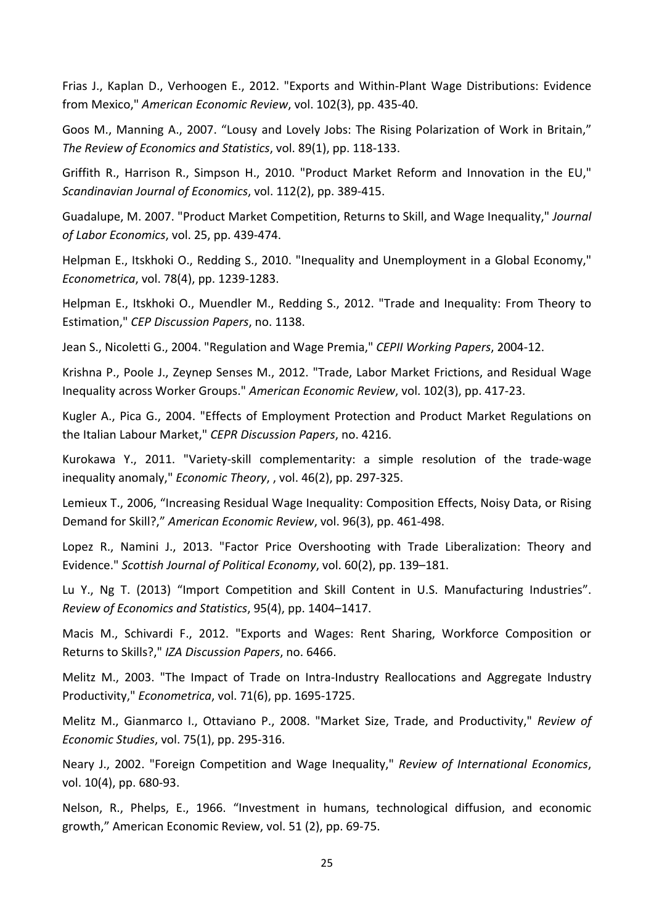Frias J., Kaplan D., Verhoogen E., 2012. "Exports and Within‐Plant Wage Distributions: Evidence from Mexico," *American Economic Review*, vol. 102(3), pp. 435‐40.

Goos M., Manning A., 2007. "Lousy and Lovely Jobs: The Rising Polarization of Work in Britain," *The Review of Economics and Statistics*, vol. 89(1), pp. 118‐133.

Griffith R., Harrison R., Simpson H., 2010. "Product Market Reform and Innovation in the EU," *Scandinavian Journal of Economics*, vol. 112(2), pp. 389‐415.

Guadalupe, M. 2007. "Product Market Competition, Returns to Skill, and Wage Inequality," *Journal of Labor Economics*, vol. 25, pp. 439‐474.

Helpman E., Itskhoki O., Redding S., 2010. "Inequality and Unemployment in a Global Economy," *Econometrica*, vol. 78(4), pp. 1239‐1283.

Helpman E., Itskhoki O., Muendler M., Redding S., 2012. "Trade and Inequality: From Theory to Estimation," *CEP Discussion Papers*, no. 1138.

Jean S., Nicoletti G., 2004. "Regulation and Wage Premia," *CEPII Working Papers*, 2004‐12.

Krishna P., Poole J., Zeynep Senses M., 2012. "Trade, Labor Market Frictions, and Residual Wage Inequality across Worker Groups." *American Economic Review*, vol. 102(3), pp. 417‐23.

Kugler A., Pica G., 2004. "Effects of Employment Protection and Product Market Regulations on the Italian Labour Market," *CEPR Discussion Papers*, no. 4216.

Kurokawa Y., 2011. "Variety‐skill complementarity: a simple resolution of the trade‐wage inequality anomaly," *Economic Theory*, , vol. 46(2), pp. 297‐325.

Lemieux T., 2006, "Increasing Residual Wage Inequality: Composition Effects, Noisy Data, or Rising Demand for Skill?," *American Economic Review*, vol. 96(3), pp. 461‐498.

Lopez R., Namini J., 2013. "Factor Price Overshooting with Trade Liberalization: Theory and Evidence." *Scottish Journal of Political Economy*, vol. 60(2), pp. 139–181.

Lu Y., Ng T. (2013) "Import Competition and Skill Content in U.S. Manufacturing Industries". *Review of Economics and Statistics*, 95(4), pp. 1404–1417.

Macis M., Schivardi F., 2012. "Exports and Wages: Rent Sharing, Workforce Composition or Returns to Skills?," *IZA Discussion Papers*, no. 6466.

Melitz M., 2003. "The Impact of Trade on Intra-Industry Reallocations and Aggregate Industry Productivity," *Econometrica*, vol. 71(6), pp. 1695‐1725.

Melitz M., Gianmarco I., Ottaviano P., 2008. "Market Size, Trade, and Productivity," *Review of Economic Studies*, vol. 75(1), pp. 295‐316.

Neary J., 2002. "Foreign Competition and Wage Inequality," *Review of International Economics*, vol. 10(4), pp. 680‐93.

Nelson, R., Phelps, E., 1966. "Investment in humans, technological diffusion, and economic growth," American Economic Review, vol. 51 (2), pp. 69‐75.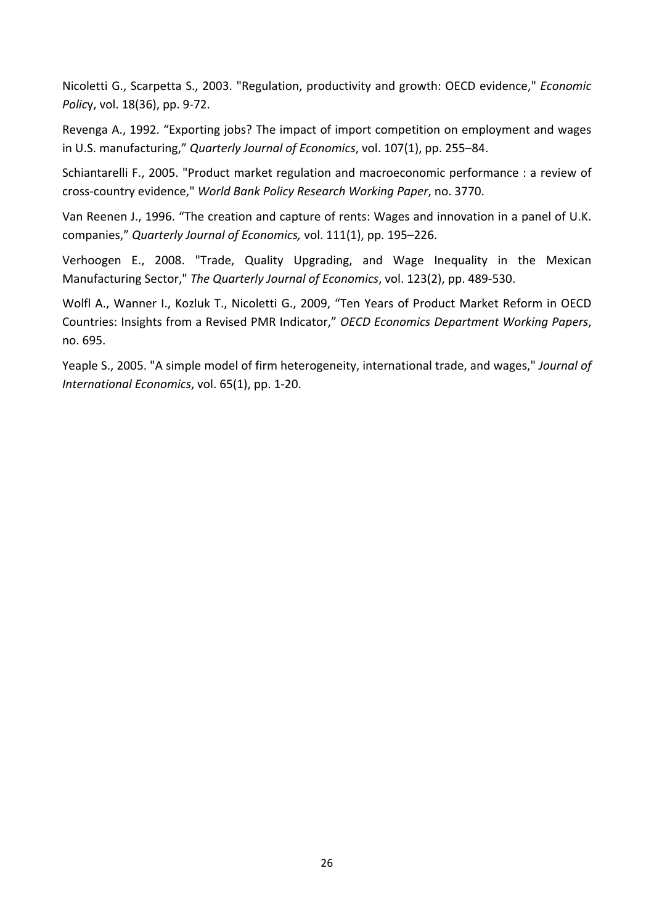Nicoletti G., Scarpetta S., 2003. "Regulation, productivity and growth: OECD evidence," *Economic Polic*y, vol. 18(36), pp. 9‐72.

Revenga A., 1992. "Exporting jobs? The impact of import competition on employment and wages in U.S. manufacturing," *Quarterly Journal of Economics*, vol. 107(1), pp. 255–84.

Schiantarelli F., 2005. "Product market regulation and macroeconomic performance : a review of cross‐country evidence," *World Bank Policy Research Working Paper*, no. 3770.

Van Reenen J., 1996. "The creation and capture of rents: Wages and innovation in a panel of U.K. companies," *Quarterly Journal of Economics,* vol. 111(1), pp. 195–226.

Verhoogen E., 2008. "Trade, Quality Upgrading, and Wage Inequality in the Mexican Manufacturing Sector," *The Quarterly Journal of Economics*, vol. 123(2), pp. 489‐530.

Wolfl A., Wanner I., Kozluk T., Nicoletti G., 2009, "Ten Years of Product Market Reform in OECD Countries: Insights from a Revised PMR Indicator," *OECD Economics Department Working Papers*, no. 695.

Yeaple S., 2005. "A simple model of firm heterogeneity, international trade, and wages," *Journal of International Economics*, vol. 65(1), pp. 1‐20.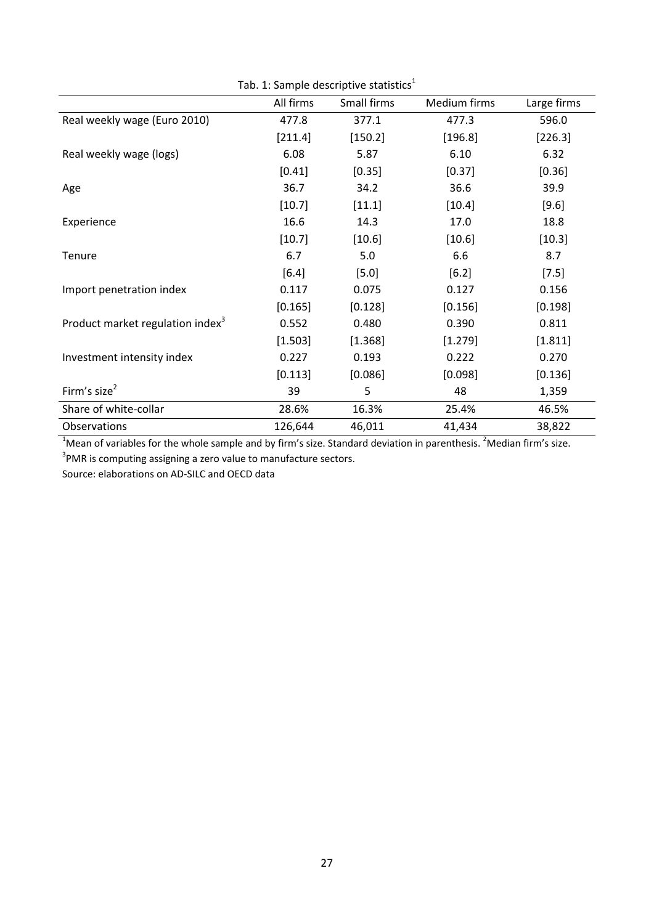| Tab. 1: Sample descriptive statistics <sup>1</sup> |           |             |              |             |
|----------------------------------------------------|-----------|-------------|--------------|-------------|
|                                                    | All firms | Small firms | Medium firms | Large firms |
| Real weekly wage (Euro 2010)                       | 477.8     | 377.1       | 477.3        | 596.0       |
|                                                    | [211.4]   | [150.2]     | [196.8]      | [226.3]     |
| Real weekly wage (logs)                            | 6.08      | 5.87        | 6.10         | 6.32        |
|                                                    | [0.41]    | [0.35]      | $[0.37]$     | [0.36]      |
| Age                                                | 36.7      | 34.2        | 36.6         | 39.9        |
|                                                    | [10.7]    | [11.1]      | $[10.4]$     | [9.6]       |
| Experience                                         | 16.6      | 14.3        | 17.0         | 18.8        |
|                                                    | [10.7]    | [10.6]      | [10.6]       | [10.3]      |
| Tenure                                             | 6.7       | 5.0         | 6.6          | 8.7         |
|                                                    | $[6.4]$   | $[5.0]$     | [6.2]        | $[7.5]$     |
| Import penetration index                           | 0.117     | 0.075       | 0.127        | 0.156       |
|                                                    | [0.165]   | [0.128]     | [0.156]      | [0.198]     |
| Product market regulation index <sup>3</sup>       | 0.552     | 0.480       | 0.390        | 0.811       |
|                                                    | [1.503]   | [1.368]     | [1.279]      | [1.811]     |
| Investment intensity index                         | 0.227     | 0.193       | 0.222        | 0.270       |
|                                                    | [0.113]   | [0.086]     | [0.098]      | [0.136]     |
| Firm's size <sup>2</sup>                           | 39        | 5           | 48           | 1,359       |
| Share of white-collar                              | 28.6%     | 16.3%       | 25.4%        | 46.5%       |
| Observations                                       | 126,644   | 46,011      | 41,434       | 38,822      |

<sup>1</sup>Mean of variables for the whole sample and by firm's size. Standard deviation in parenthesis. <sup>2</sup>Median firm's size.

 $3$ PMR is computing assigning a zero value to manufacture sectors.

Source: elaborations on AD‐SILC and OECD data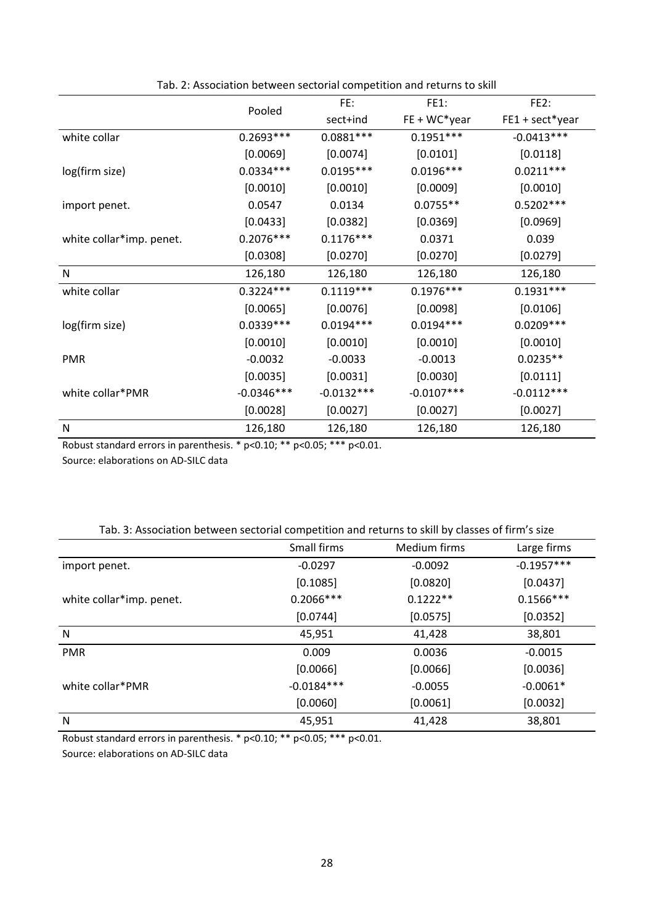|                          |              | FE:          | <b>FE1:</b>    | FE <sub>2</sub> : |
|--------------------------|--------------|--------------|----------------|-------------------|
|                          | Pooled       | sect+ind     | $FE + WC*year$ | FE1 + sect*year   |
| white collar             | $0.2693***$  | $0.0881***$  | $0.1951***$    | $-0.0413***$      |
|                          | [0.0069]     | [0.0074]     | [0.0101]       | [0.0118]          |
| log(firm size)           | $0.0334***$  | $0.0195***$  | $0.0196***$    | $0.0211***$       |
|                          | [0.0010]     | [0.0010]     | [0.0009]       | [0.0010]          |
| import penet.            | 0.0547       | 0.0134       | $0.0755**$     | $0.5202***$       |
|                          | [0.0433]     | [0.0382]     | [0.0369]       | [0.0969]          |
| white collar*imp. penet. | $0.2076***$  | $0.1176***$  | 0.0371         | 0.039             |
|                          | [0.0308]     | [0.0270]     | [0.0270]       | [0.0279]          |
| ${\sf N}$                | 126,180      | 126,180      | 126,180        | 126,180           |
| white collar             | $0.3224***$  | $0.1119***$  | $0.1976***$    | $0.1931***$       |
|                          | [0.0065]     | [0.0076]     | [0.0098]       | [0.0106]          |
| log(firm size)           | $0.0339***$  | $0.0194***$  | $0.0194***$    | $0.0209***$       |
|                          | [0.0010]     | [0.0010]     | [0.0010]       | [0.0010]          |
| <b>PMR</b>               | $-0.0032$    | $-0.0033$    | $-0.0013$      | $0.0235**$        |
|                          | [0.0035]     | [0.0031]     | [0.0030]       | [0.0111]          |
| white collar*PMR         | $-0.0346***$ | $-0.0132***$ | $-0.0107***$   | $-0.0112***$      |
|                          | [0.0028]     | [0.0027]     | [0.0027]       | [0.0027]          |
| N                        | 126,180      | 126,180      | 126,180        | 126,180           |

Tab. 2: Association between sectorial competition and returns to skill

Robust standard errors in parenthesis. \* p<0.10; \*\* p<0.05; \*\*\* p<0.01.

Source: elaborations on AD‐SILC data

|                          | Small firms  | Medium firms | Large firms  |
|--------------------------|--------------|--------------|--------------|
| import penet.            | $-0.0297$    | $-0.0092$    | $-0.1957***$ |
|                          | [0.1085]     | [0.0820]     | [0.0437]     |
| white collar*imp. penet. | $0.2066***$  | $0.1222**$   | $0.1566***$  |
|                          | [0.0744]     | [0.0575]     | [0.0352]     |
| N                        | 45,951       | 41,428       | 38,801       |
| <b>PMR</b>               | 0.009        | 0.0036       | $-0.0015$    |
|                          | [0.0066]     | [0.0066]     | [0.0036]     |
| white collar*PMR         | $-0.0184***$ | $-0.0055$    | $-0.0061*$   |
|                          | [0.0060]     | [0.0061]     | [0.0032]     |
| N                        | 45,951       | 41,428       | 38,801       |

Robust standard errors in parenthesis. \* p<0.10; \*\* p<0.05; \*\*\* p<0.01.

Source: elaborations on AD‐SILC data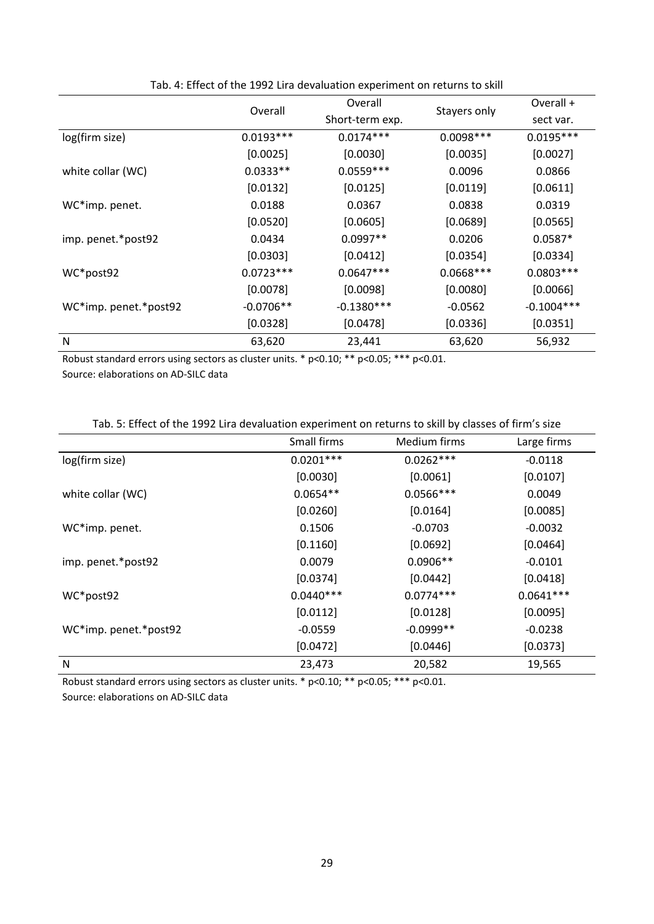|                       | Overall     | Overall         |              | Overall +    |
|-----------------------|-------------|-----------------|--------------|--------------|
|                       |             | Short-term exp. | Stayers only | sect var.    |
| log(firm size)        | $0.0193***$ | $0.0174***$     | $0.0098***$  | $0.0195***$  |
|                       | [0.0025]    | [0.0030]        | [0.0035]     | [0.0027]     |
| white collar (WC)     | $0.0333**$  | $0.0559***$     | 0.0096       | 0.0866       |
|                       | [0.0132]    | [0.0125]        | [0.0119]     | [0.0611]     |
| WC*imp. penet.        | 0.0188      | 0.0367          | 0.0838       | 0.0319       |
|                       | [0.0520]    | [0.0605]        | [0.0689]     | [0.0565]     |
| imp. penet.*post92    | 0.0434      | $0.0997**$      | 0.0206       | $0.0587*$    |
|                       | [0.0303]    | [0.0412]        | [0.0354]     | [0.0334]     |
| WC*post92             | $0.0723***$ | $0.0647***$     | $0.0668***$  | $0.0803***$  |
|                       | [0.0078]    | [0.0098]        | [0.0080]     | [0.0066]     |
| WC*imp. penet.*post92 | $-0.0706**$ | $-0.1380***$    | $-0.0562$    | $-0.1004***$ |
|                       | [0.0328]    | [0.0478]        | [0.0336]     | [0.0351]     |
| ${\sf N}$             | 63,620      | 23,441          | 63,620       | 56,932       |

Tab. 4: Effect of the 1992 Lira devaluation experiment on returns to skill

Robust standard errors using sectors as cluster units. \* p<0.10; \*\* p<0.05; \*\*\* p<0.01.

Source: elaborations on AD‐SILC data

| Tab. 5: Effect of the 1992 Lira devaluation experiment on returns to skill by classes of firm's size |
|------------------------------------------------------------------------------------------------------|
|------------------------------------------------------------------------------------------------------|

|                       | Small firms | Medium firms | Large firms |
|-----------------------|-------------|--------------|-------------|
| log(firm size)        | $0.0201***$ | $0.0262***$  | $-0.0118$   |
|                       | [0.0030]    | [0.0061]     | [0.0107]    |
| white collar (WC)     | $0.0654**$  | $0.0566***$  | 0.0049      |
|                       | [0.0260]    | [0.0164]     | [0.0085]    |
| WC*imp. penet.        | 0.1506      | $-0.0703$    | $-0.0032$   |
|                       | [0.1160]    | [0.0692]     | [0.0464]    |
| imp. penet.*post92    | 0.0079      | $0.0906**$   | $-0.0101$   |
|                       | [0.0374]    | [0.0442]     | [0.0418]    |
| WC*post92             | $0.0440***$ | $0.0774***$  | $0.0641***$ |
|                       | [0.0112]    | [0.0128]     | [0.0095]    |
| WC*imp. penet.*post92 | $-0.0559$   | $-0.0999**$  | $-0.0238$   |
|                       | [0.0472]    | [0.0446]     | [0.0373]    |
| N                     | 23,473      | 20,582       | 19,565      |

Robust standard errors using sectors as cluster units. \* p<0.10; \*\* p<0.05; \*\*\* p<0.01.

Source: elaborations on AD‐SILC data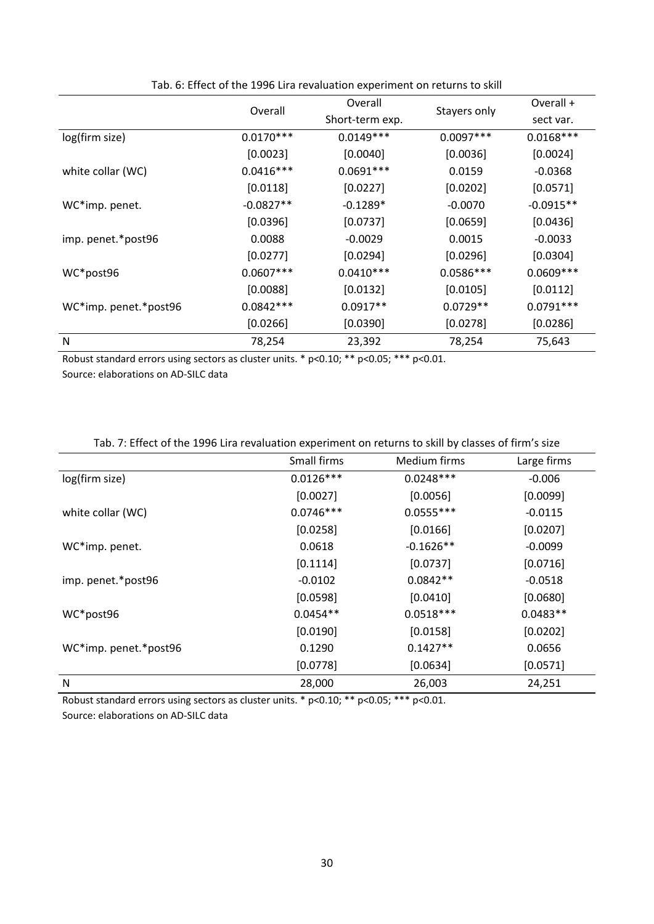|                       | Overall     | Overall         |              | Overall +   |
|-----------------------|-------------|-----------------|--------------|-------------|
|                       |             | Short-term exp. | Stayers only | sect var.   |
| log(firm size)        | $0.0170***$ | $0.0149***$     | $0.0097***$  | $0.0168***$ |
|                       | [0.0023]    | [0.0040]        | [0.0036]     | [0.0024]    |
| white collar (WC)     | $0.0416***$ | $0.0691***$     | 0.0159       | $-0.0368$   |
|                       | [0.0118]    | [0.0227]        | [0.0202]     | [0.0571]    |
| WC*imp. penet.        | $-0.0827**$ | $-0.1289*$      | $-0.0070$    | $-0.0915**$ |
|                       | [0.0396]    | [0.0737]        | [0.0659]     | [0.0436]    |
| imp. penet.*post96    | 0.0088      | $-0.0029$       | 0.0015       | $-0.0033$   |
|                       | [0.0277]    | [0.0294]        | [0.0296]     | [0.0304]    |
| WC*post96             | $0.0607***$ | $0.0410***$     | $0.0586***$  | $0.0609***$ |
|                       | [0.0088]    | [0.0132]        | [0.0105]     | [0.0112]    |
| WC*imp. penet.*post96 | $0.0842***$ | $0.0917**$      | $0.0729**$   | $0.0791***$ |
|                       | [0.0266]    | [0.0390]        | [0.0278]     | [0.0286]    |
| ${\sf N}$             | 78,254      | 23,392          | 78,254       | 75,643      |

Tab. 6: Effect of the 1996 Lira revaluation experiment on returns to skill

Robust standard errors using sectors as cluster units. \* p<0.10; \*\* p<0.05; \*\*\* p<0.01.

Source: elaborations on AD‐SILC data

| Tab. 7: Effect of the 1996 Lira revaluation experiment on returns to skill by classes of firm's size |  |
|------------------------------------------------------------------------------------------------------|--|
|------------------------------------------------------------------------------------------------------|--|

|                       | Small firms | Medium firms | Large firms |
|-----------------------|-------------|--------------|-------------|
| log(firm size)        | $0.0126***$ | $0.0248***$  | $-0.006$    |
|                       | [0.0027]    | [0.0056]     | [0.0099]    |
| white collar (WC)     | $0.0746***$ | $0.0555***$  | $-0.0115$   |
|                       | [0.0258]    | [0.0166]     | [0.0207]    |
| WC*imp. penet.        | 0.0618      | $-0.1626**$  | $-0.0099$   |
|                       | [0.1114]    | [0.0737]     | [0.0716]    |
| imp. penet.*post96    | $-0.0102$   | $0.0842**$   | $-0.0518$   |
|                       | [0.0598]    | [0.0410]     | [0.0680]    |
| WC*post96             | $0.0454**$  | $0.0518***$  | $0.0483**$  |
|                       | [0.0190]    | [0.0158]     | [0.0202]    |
| WC*imp. penet.*post96 | 0.1290      | $0.1427**$   | 0.0656      |
|                       | [0.0778]    | [0.0634]     | [0.0571]    |
| N                     | 28,000      | 26,003       | 24,251      |

Robust standard errors using sectors as cluster units. \* p<0.10; \*\* p<0.05; \*\*\* p<0.01. Source: elaborations on AD‐SILC data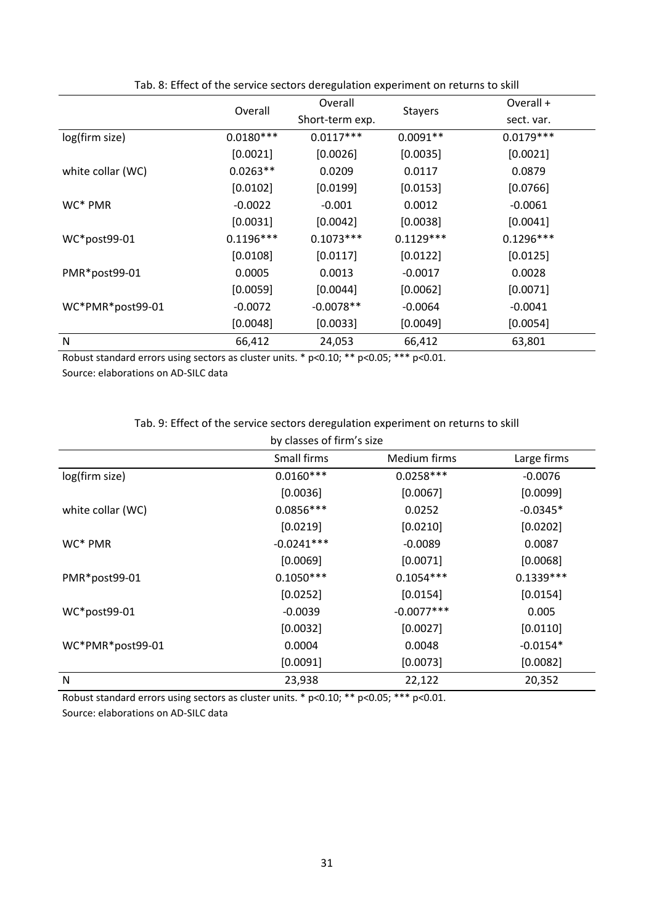|                   | Overall     | Overall         |                | Overall +   |
|-------------------|-------------|-----------------|----------------|-------------|
|                   |             | Short-term exp. | <b>Stayers</b> | sect. var.  |
| log(firm size)    | $0.0180***$ | $0.0117***$     | $0.0091**$     | $0.0179***$ |
|                   | [0.0021]    | [0.0026]        | [0.0035]       | [0.0021]    |
| white collar (WC) | $0.0263**$  | 0.0209          | 0.0117         | 0.0879      |
|                   | [0.0102]    | [0.0199]        | [0.0153]       | [0.0766]    |
| WC* PMR           | $-0.0022$   | $-0.001$        | 0.0012         | $-0.0061$   |
|                   | [0.0031]    | [0.0042]        | [0.0038]       | [0.0041]    |
| WC*post99-01      | $0.1196***$ | $0.1073***$     | $0.1129***$    | $0.1296***$ |
|                   | [0.0108]    | [0.0117]        | [0.0122]       | [0.0125]    |
| PMR*post99-01     | 0.0005      | 0.0013          | $-0.0017$      | 0.0028      |
|                   | [0.0059]    | [0.0044]        | [0.0062]       | [0.0071]    |
| WC*PMR*post99-01  | $-0.0072$   | $-0.0078**$     | $-0.0064$      | $-0.0041$   |
|                   | [0.0048]    | [0.0033]        | [0.0049]       | [0.0054]    |
| N                 | 66,412      | 24,053          | 66,412         | 63,801      |

Tab. 8: Effect of the service sectors deregulation experiment on returns to skill

Robust standard errors using sectors as cluster units. \* p<0.10; \*\* p<0.05; \*\*\* p<0.01.

Source: elaborations on AD‐SILC data

#### Tab. 9: Effect of the service sectors deregulation experiment on returns to skill

| by classes of firm's size |              |              |             |  |
|---------------------------|--------------|--------------|-------------|--|
|                           | Small firms  | Medium firms | Large firms |  |
| log(firm size)            | $0.0160***$  | $0.0258***$  | $-0.0076$   |  |
|                           | [0.0036]     | [0.0067]     | [0.0099]    |  |
| white collar (WC)         | $0.0856***$  | 0.0252       | $-0.0345*$  |  |
|                           | [0.0219]     | [0.0210]     | [0.0202]    |  |
| WC <sup>*</sup> PMR       | $-0.0241***$ | $-0.0089$    | 0.0087      |  |
|                           | [0.0069]     | [0.0071]     | [0.0068]    |  |
| PMR*post99-01             | $0.1050***$  | $0.1054***$  | $0.1339***$ |  |
|                           | [0.0252]     | [0.0154]     | [0.0154]    |  |
| WC*post99-01              | $-0.0039$    | $-0.0077***$ | 0.005       |  |
|                           | [0.0032]     | [0.0027]     | [0.0110]    |  |
| WC*PMR*post99-01          | 0.0004       | 0.0048       | $-0.0154*$  |  |
|                           | [0.0091]     | [0.0073]     | [0.0082]    |  |
| N                         | 23,938       | 22,122       | 20,352      |  |

Robust standard errors using sectors as cluster units. \* p<0.10; \*\* p<0.05; \*\*\* p<0.01. Source: elaborations on AD‐SILC data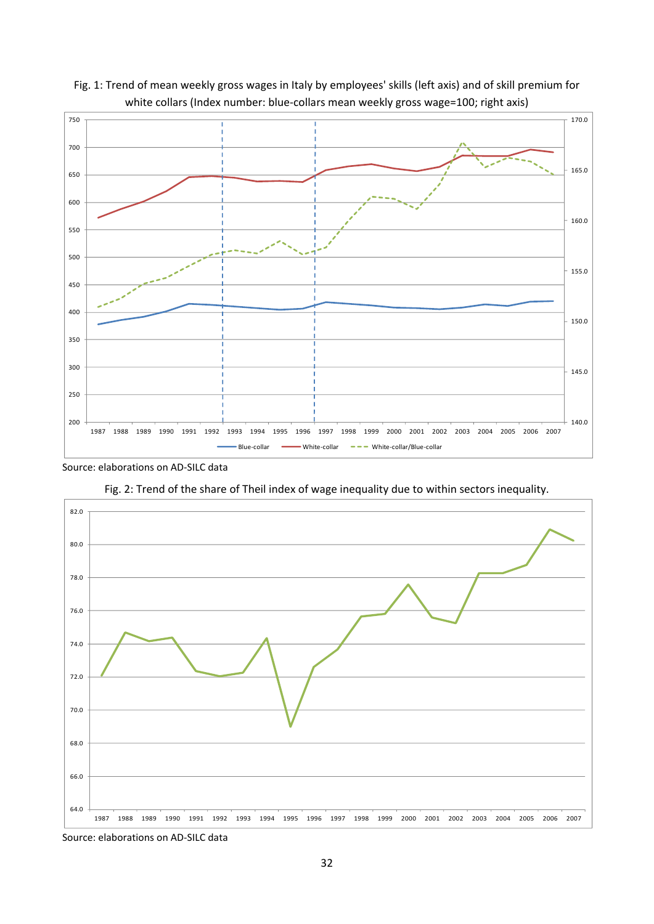



Source: elaborations on AD‐SILC data





Source: elaborations on AD‐SILC data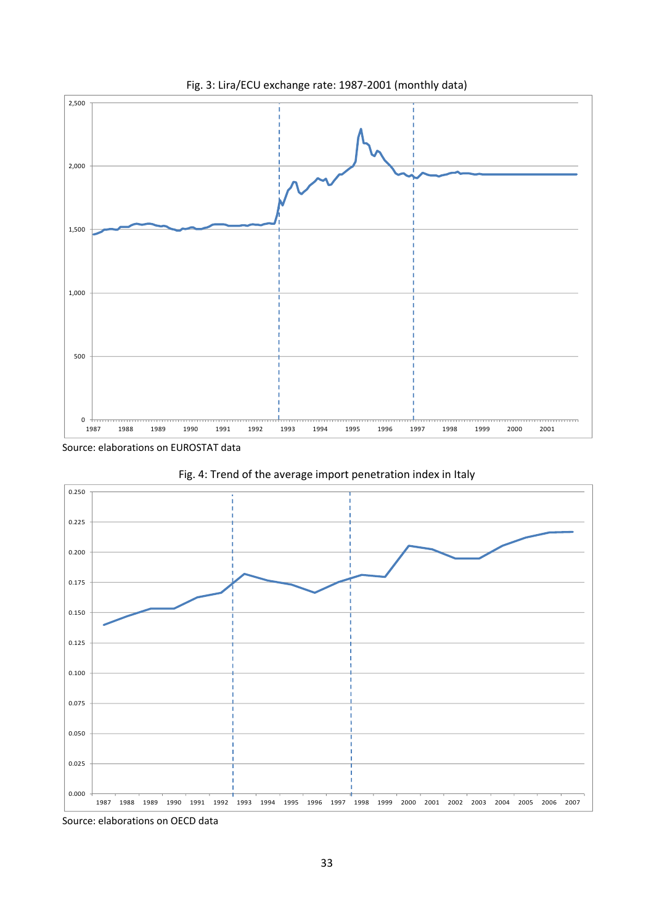

Fig. 3: Lira/ECU exchange rate: 1987‐2001 (monthly data)

Source: elaborations on EUROSTAT data





Source: elaborations on OECD data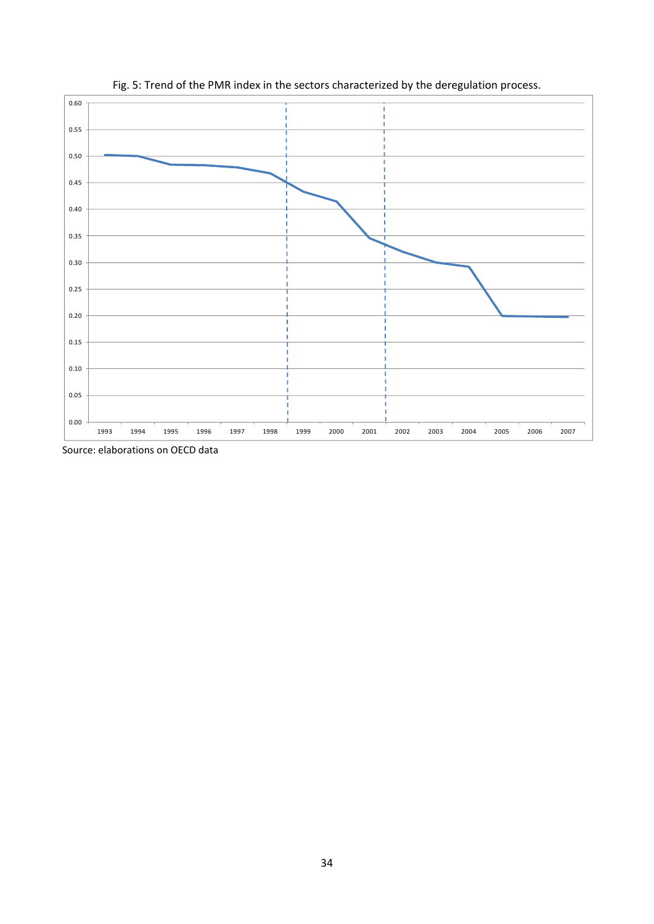

Fig. 5: Trend of the PMR index in the sectors characterized by the deregulation process.

Source: elaborations on OECD data